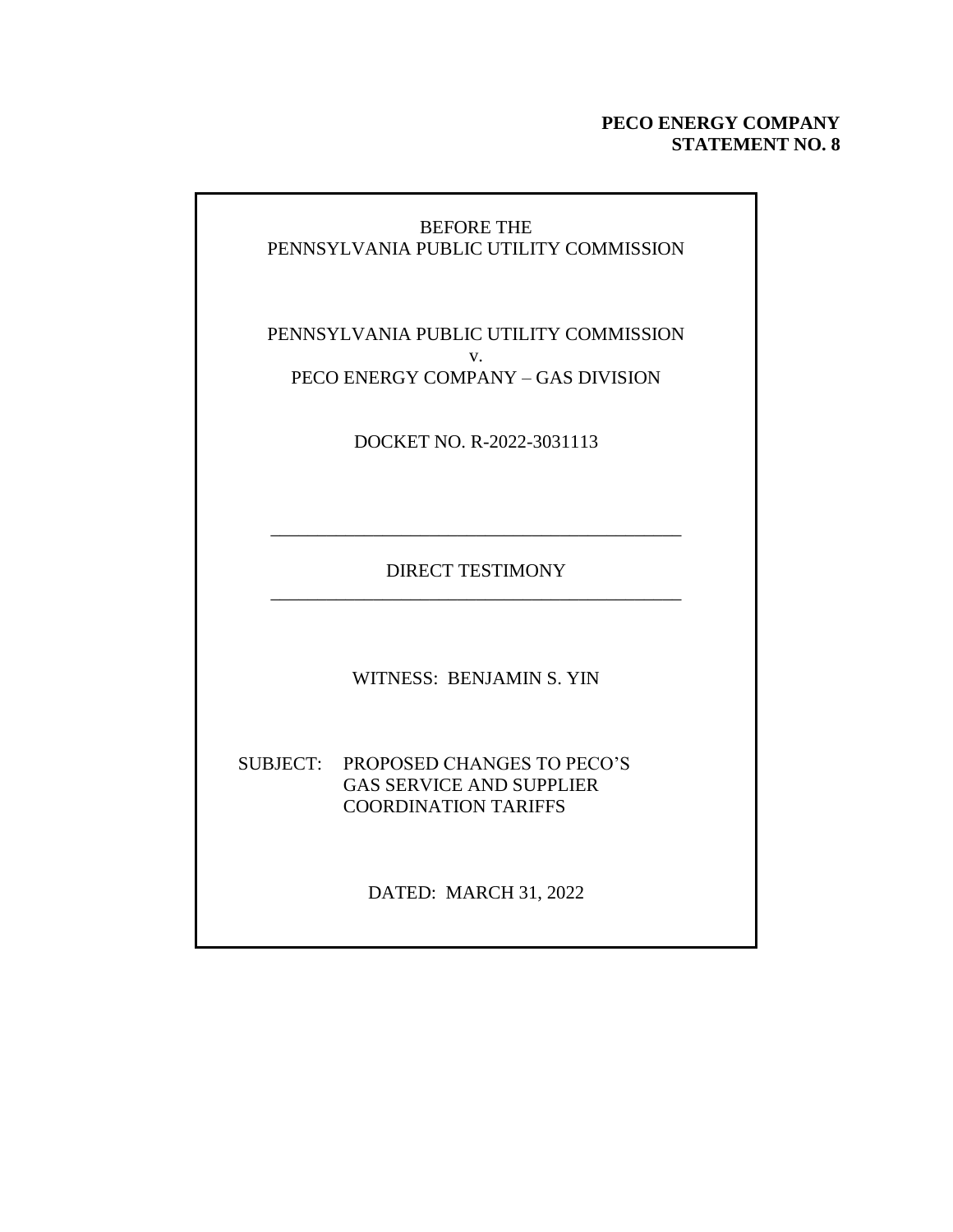#### **PECO ENERGY COMPANY STATEMENT NO. 8**

#### BEFORE THE PENNSYLVANIA PUBLIC UTILITY COMMISSION

PENNSYLVANIA PUBLIC UTILITY COMMISSION v. PECO ENERGY COMPANY – GAS DIVISION

DOCKET NO. R-2022-3031113

DIRECT TESTIMONY \_\_\_\_\_\_\_\_\_\_\_\_\_\_\_\_\_\_\_\_\_\_\_\_\_\_\_\_\_\_\_\_\_\_\_\_\_\_\_\_\_\_\_\_

\_\_\_\_\_\_\_\_\_\_\_\_\_\_\_\_\_\_\_\_\_\_\_\_\_\_\_\_\_\_\_\_\_\_\_\_\_\_\_\_\_\_\_\_

WITNESS: BENJAMIN S. YIN

SUBJECT: PROPOSED CHANGES TO PECO'S GAS SERVICE AND SUPPLIER COORDINATION TARIFFS

DATED: MARCH 31, 2022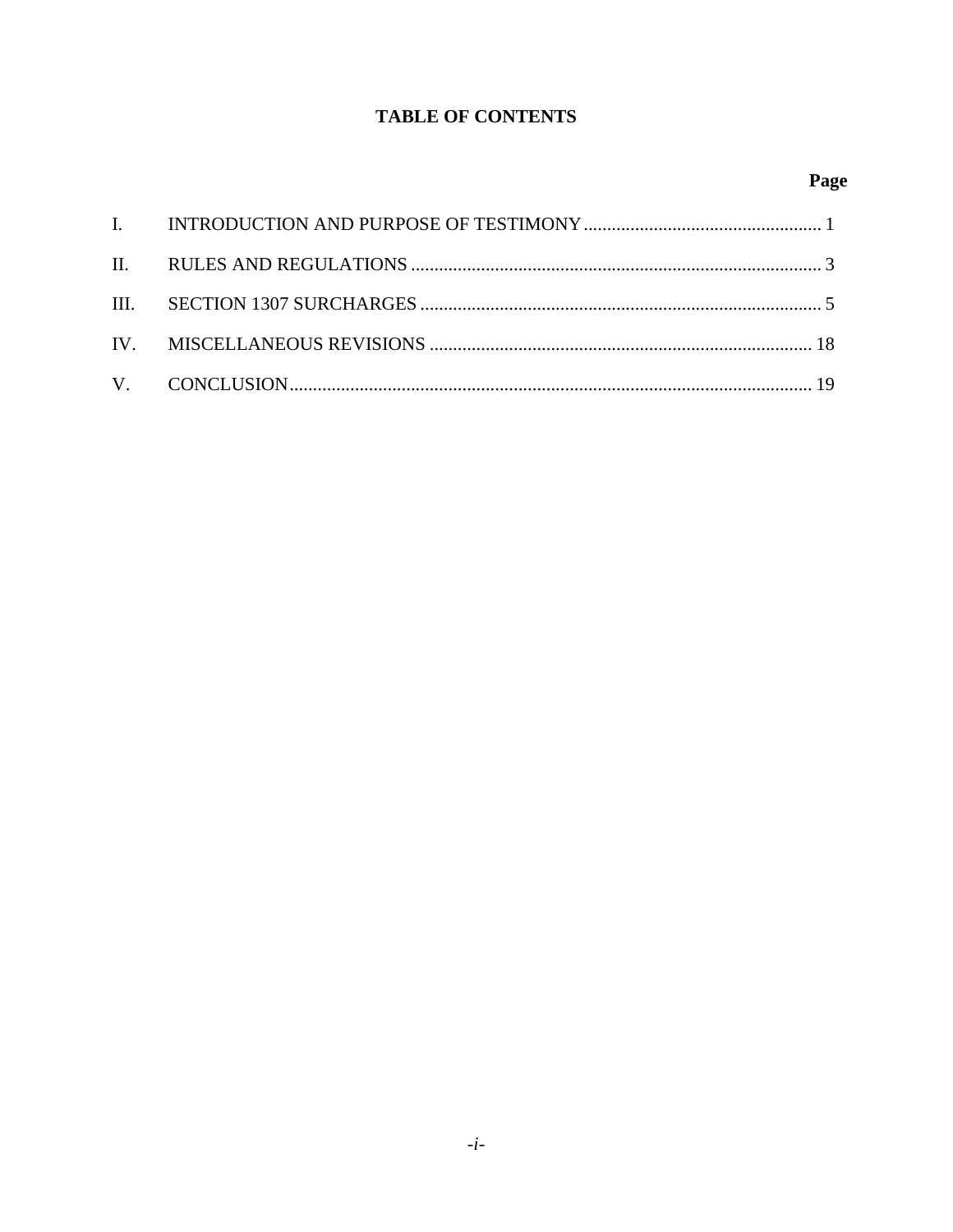### **TABLE OF CONTENTS**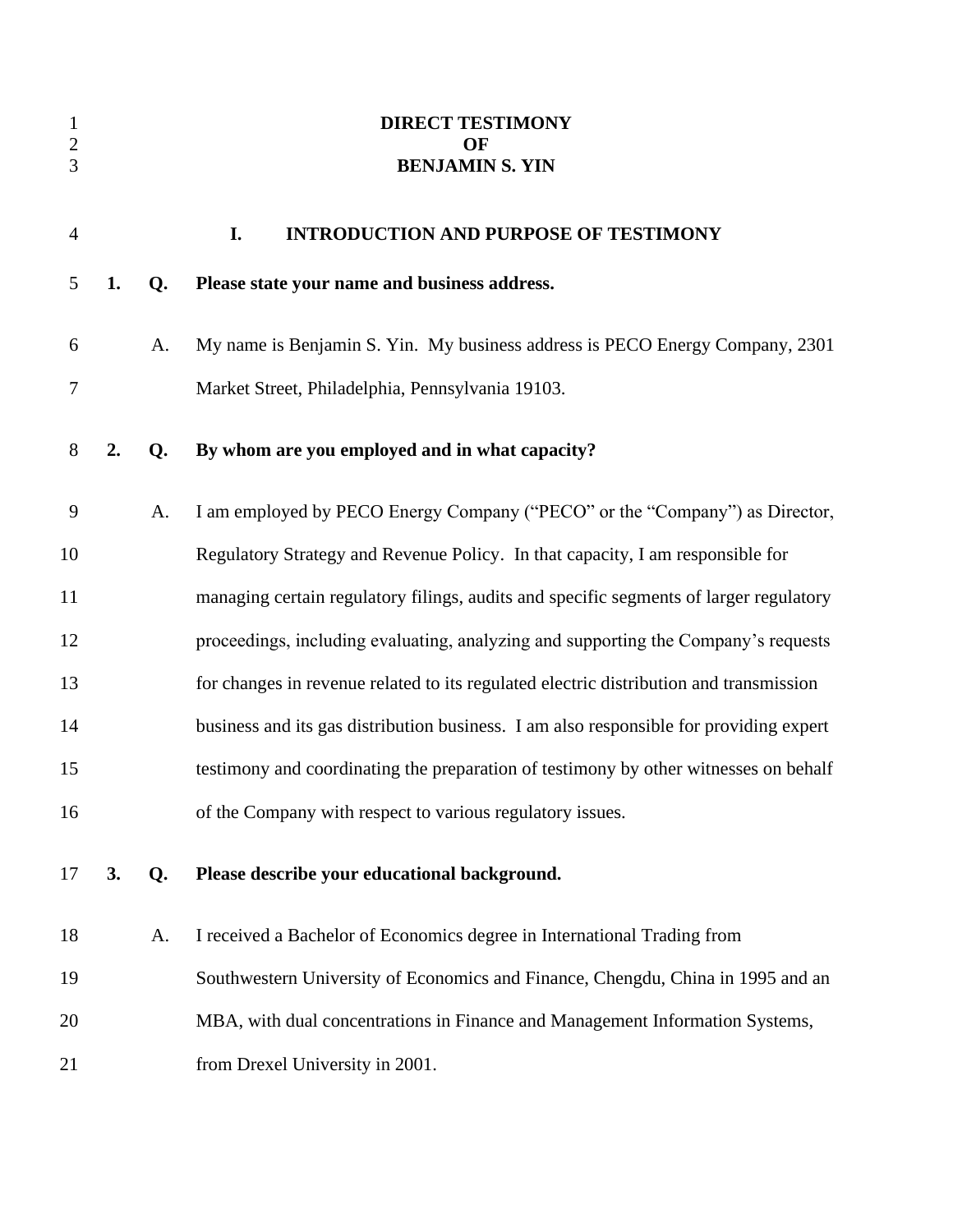<span id="page-2-0"></span>

| $\mathbf{1}$<br>$\sqrt{2}$<br>3 |    |    | <b>DIRECT TESTIMONY</b><br>OF<br><b>BENJAMIN S. YIN</b>                                |
|---------------------------------|----|----|----------------------------------------------------------------------------------------|
| $\overline{4}$                  |    |    | I.<br><b>INTRODUCTION AND PURPOSE OF TESTIMONY</b>                                     |
| 5                               | 1. | Q. | Please state your name and business address.                                           |
| 6                               |    | A. | My name is Benjamin S. Yin. My business address is PECO Energy Company, 2301           |
| 7                               |    |    | Market Street, Philadelphia, Pennsylvania 19103.                                       |
| 8                               | 2. | Q. | By whom are you employed and in what capacity?                                         |
| 9                               |    | A. | I am employed by PECO Energy Company ("PECO" or the "Company") as Director,            |
| 10                              |    |    | Regulatory Strategy and Revenue Policy. In that capacity, I am responsible for         |
| 11                              |    |    | managing certain regulatory filings, audits and specific segments of larger regulatory |
| 12                              |    |    | proceedings, including evaluating, analyzing and supporting the Company's requests     |
| 13                              |    |    | for changes in revenue related to its regulated electric distribution and transmission |
| 14                              |    |    | business and its gas distribution business. I am also responsible for providing expert |
| 15                              |    |    | testimony and coordinating the preparation of testimony by other witnesses on behalf   |
| 16                              |    |    | of the Company with respect to various regulatory issues.                              |
| 17                              | 3. | Q. | Please describe your educational background.                                           |
| 18                              |    | A. | I received a Bachelor of Economics degree in International Trading from                |
| 19                              |    |    | Southwestern University of Economics and Finance, Chengdu, China in 1995 and an        |
| 20                              |    |    | MBA, with dual concentrations in Finance and Management Information Systems,           |
| 21                              |    |    | from Drexel University in 2001.                                                        |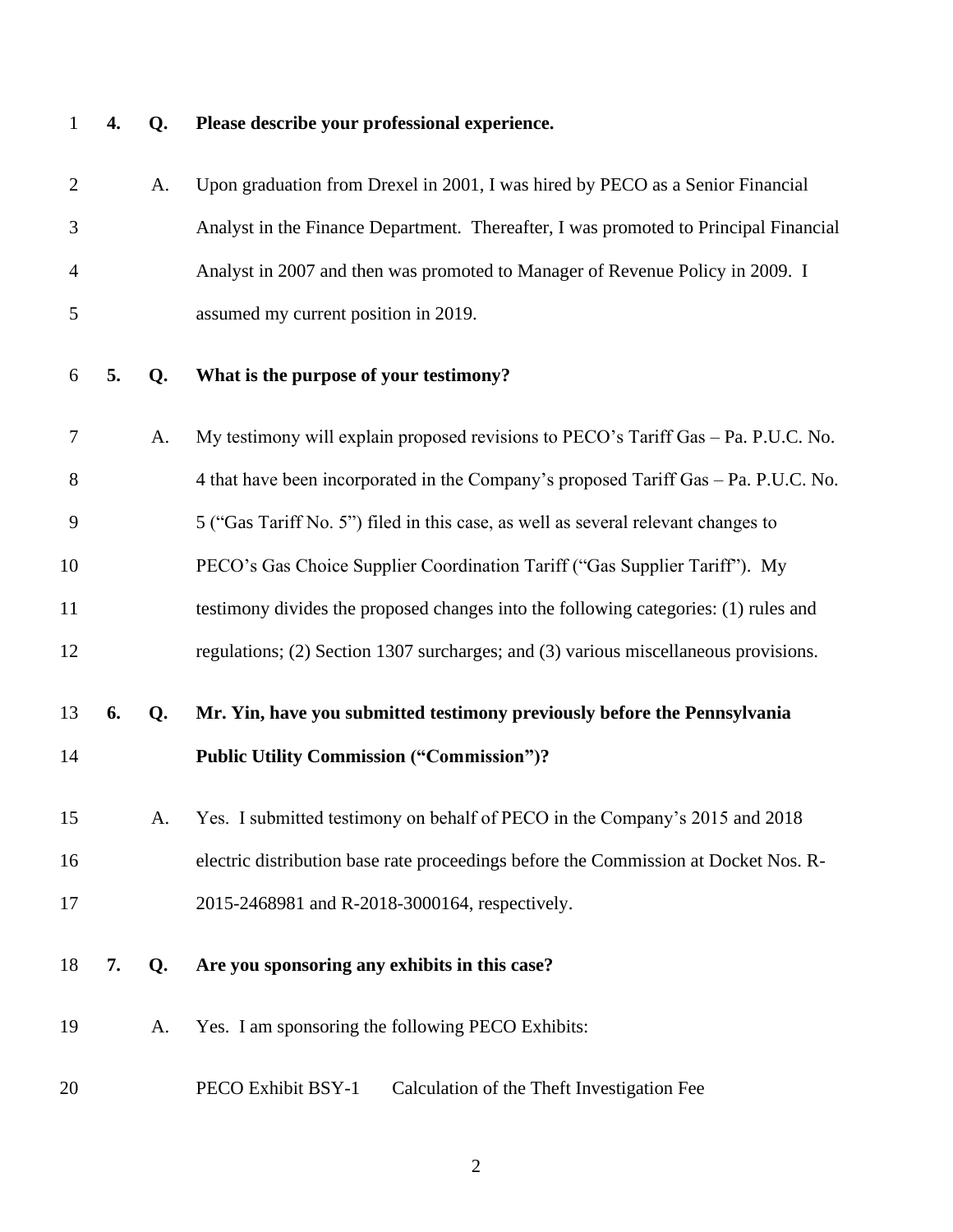## **4. Q. Please describe your professional experience.**

| $\overline{2}$ |    | A. | Upon graduation from Drexel in 2001, I was hired by PECO as a Senior Financial       |
|----------------|----|----|--------------------------------------------------------------------------------------|
| 3              |    |    | Analyst in the Finance Department. Thereafter, I was promoted to Principal Financial |
| 4              |    |    | Analyst in 2007 and then was promoted to Manager of Revenue Policy in 2009. I        |
| 5              |    |    | assumed my current position in 2019.                                                 |
| 6              | 5. | Q. | What is the purpose of your testimony?                                               |
| 7              |    | A. | My testimony will explain proposed revisions to PECO's Tariff Gas - Pa. P.U.C. No.   |
| 8              |    |    | 4 that have been incorporated in the Company's proposed Tariff Gas – Pa. P.U.C. No.  |
| 9              |    |    | 5 ("Gas Tariff No. 5") filed in this case, as well as several relevant changes to    |
| 10             |    |    | PECO's Gas Choice Supplier Coordination Tariff ("Gas Supplier Tariff"). My           |
| 11             |    |    | testimony divides the proposed changes into the following categories: (1) rules and  |
| 12             |    |    | regulations; (2) Section 1307 surcharges; and (3) various miscellaneous provisions.  |
| 13             | 6. | Q. | Mr. Yin, have you submitted testimony previously before the Pennsylvania             |
| 14             |    |    | <b>Public Utility Commission ("Commission")?</b>                                     |
| 15             |    | A. | Yes. I submitted testimony on behalf of PECO in the Company's 2015 and 2018          |
| 16             |    |    | electric distribution base rate proceedings before the Commission at Docket Nos. R-  |
| 17             |    |    | 2015-2468981 and R-2018-3000164, respectively.                                       |
| 18             | 7. | Q. | Are you sponsoring any exhibits in this case?                                        |
| 19             |    | A. | Yes. I am sponsoring the following PECO Exhibits:                                    |
| 20             |    |    | PECO Exhibit BSY-1<br>Calculation of the Theft Investigation Fee                     |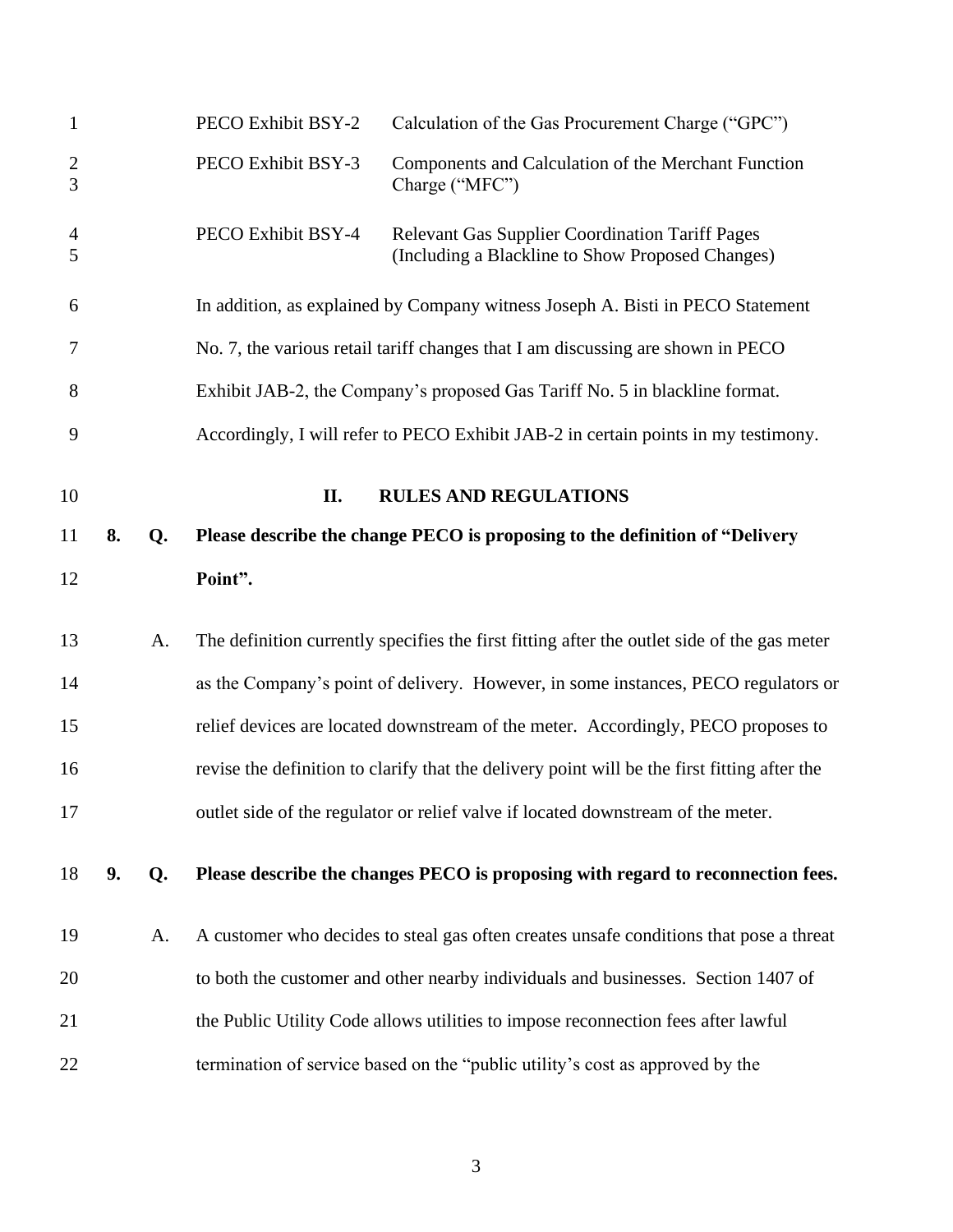<span id="page-4-0"></span>

| $\mathbf{1}$                     |    |    | PECO Exhibit BSY-2 | Calculation of the Gas Procurement Charge ("GPC")                                                          |
|----------------------------------|----|----|--------------------|------------------------------------------------------------------------------------------------------------|
| $\overline{2}$<br>$\overline{3}$ |    |    | PECO Exhibit BSY-3 | Components and Calculation of the Merchant Function<br>Charge ("MFC")                                      |
| $\overline{4}$<br>5              |    |    | PECO Exhibit BSY-4 | <b>Relevant Gas Supplier Coordination Tariff Pages</b><br>(Including a Blackline to Show Proposed Changes) |
| 6                                |    |    |                    | In addition, as explained by Company witness Joseph A. Bisti in PECO Statement                             |
| 7                                |    |    |                    | No. 7, the various retail tariff changes that I am discussing are shown in PECO                            |
| 8                                |    |    |                    | Exhibit JAB-2, the Company's proposed Gas Tariff No. 5 in blackline format.                                |
| 9                                |    |    |                    | Accordingly, I will refer to PECO Exhibit JAB-2 in certain points in my testimony.                         |
| 10                               |    |    | II.                | <b>RULES AND REGULATIONS</b>                                                                               |
| 11                               | 8. | Q. |                    | Please describe the change PECO is proposing to the definition of "Delivery"                               |
| 12                               |    |    | Point".            |                                                                                                            |
| 13                               |    | A. |                    | The definition currently specifies the first fitting after the outlet side of the gas meter                |
| 14                               |    |    |                    | as the Company's point of delivery. However, in some instances, PECO regulators or                         |
| 15                               |    |    |                    | relief devices are located downstream of the meter. Accordingly, PECO proposes to                          |
| 16                               |    |    |                    | revise the definition to clarify that the delivery point will be the first fitting after the               |
| 17                               |    |    |                    | outlet side of the regulator or relief valve if located downstream of the meter.                           |
| 18                               | 9. | Q. |                    | Please describe the changes PECO is proposing with regard to reconnection fees.                            |
| 19                               |    | A. |                    | A customer who decides to steal gas often creates unsafe conditions that pose a threat                     |
| 20                               |    |    |                    | to both the customer and other nearby individuals and businesses. Section 1407 of                          |
| 21                               |    |    |                    | the Public Utility Code allows utilities to impose reconnection fees after lawful                          |
|                                  |    |    |                    |                                                                                                            |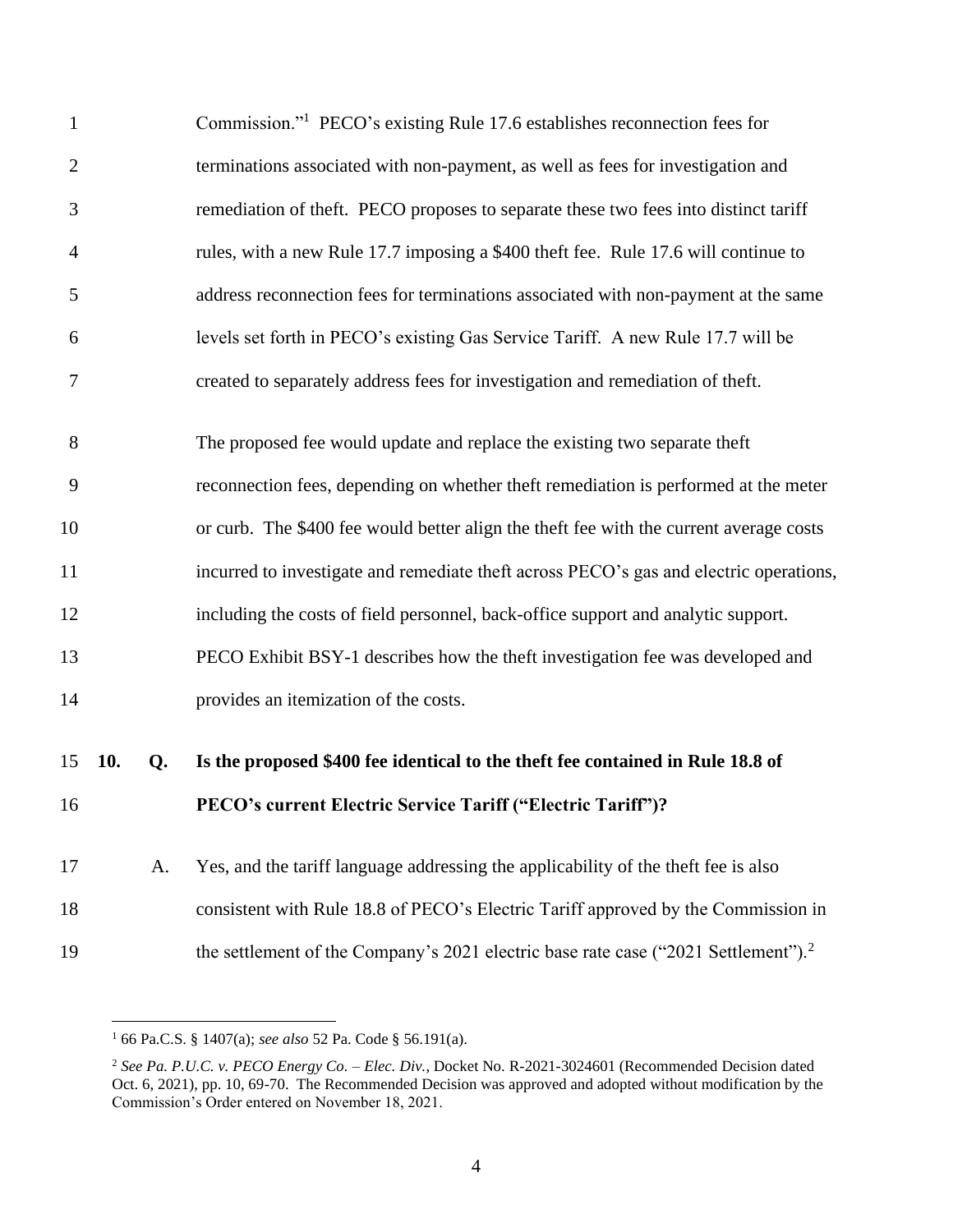| $\mathbf{1}$ |     |    | Commission." <sup>1</sup> PECO's existing Rule 17.6 establishes reconnection fees for          |
|--------------|-----|----|------------------------------------------------------------------------------------------------|
| $\mathbf{2}$ |     |    | terminations associated with non-payment, as well as fees for investigation and                |
| 3            |     |    | remediation of theft. PECO proposes to separate these two fees into distinct tariff            |
| 4            |     |    | rules, with a new Rule 17.7 imposing a \$400 theft fee. Rule 17.6 will continue to             |
| 5            |     |    | address reconnection fees for terminations associated with non-payment at the same             |
| 6            |     |    | levels set forth in PECO's existing Gas Service Tariff. A new Rule 17.7 will be                |
| 7            |     |    | created to separately address fees for investigation and remediation of theft.                 |
| 8            |     |    | The proposed fee would update and replace the existing two separate theft                      |
|              |     |    |                                                                                                |
| 9            |     |    | reconnection fees, depending on whether theft remediation is performed at the meter            |
| 10           |     |    | or curb. The \$400 fee would better align the theft fee with the current average costs         |
| 11           |     |    | incurred to investigate and remediate theft across PECO's gas and electric operations,         |
| 12           |     |    | including the costs of field personnel, back-office support and analytic support.              |
| 13           |     |    | PECO Exhibit BSY-1 describes how the theft investigation fee was developed and                 |
| 14           |     |    | provides an itemization of the costs.                                                          |
|              |     |    |                                                                                                |
| 15           | 10. | Q. | Is the proposed \$400 fee identical to the theft fee contained in Rule 18.8 of                 |
| 16           |     |    | PECO's current Electric Service Tariff ("Electric Tariff")?                                    |
| 17           |     | A. | Yes, and the tariff language addressing the applicability of the theft fee is also             |
| 18           |     |    | consistent with Rule 18.8 of PECO's Electric Tariff approved by the Commission in              |
| 19           |     |    | the settlement of the Company's 2021 electric base rate case ("2021 Settlement"). <sup>2</sup> |

66 Pa.C.S. § 1407(a); *see also* 52 Pa. Code § 56.191(a).

 *See Pa. P.U.C. v. PECO Energy Co. – Elec. Div.*, Docket No. R-2021-3024601 (Recommended Decision dated Oct. 6, 2021), pp. 10, 69-70. The Recommended Decision was approved and adopted without modification by the Commission's Order entered on November 18, 2021.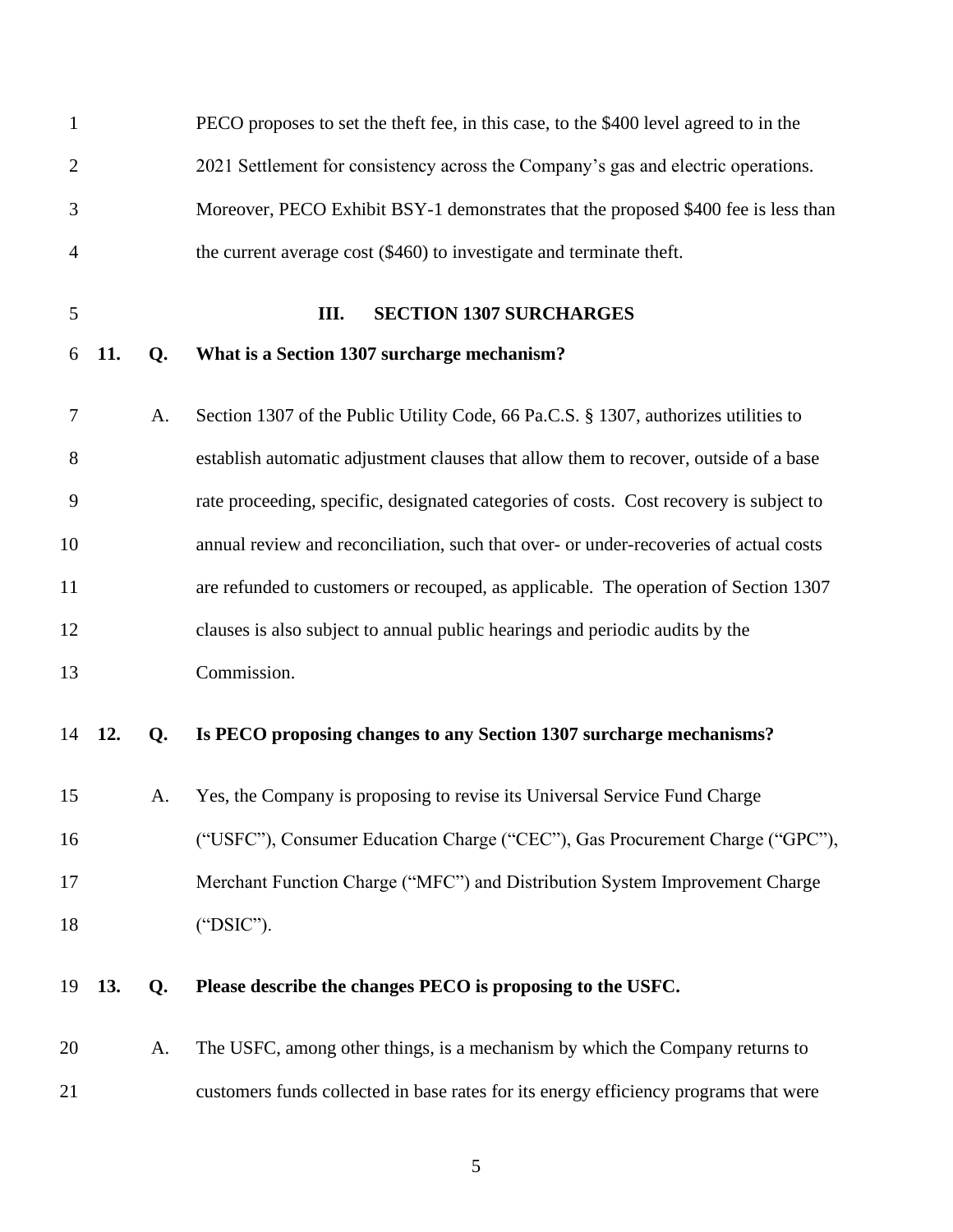<span id="page-6-0"></span>

| $\mathbf{1}$   |     |    | PECO proposes to set the theft fee, in this case, to the \$400 level agreed to in the  |
|----------------|-----|----|----------------------------------------------------------------------------------------|
| $\overline{2}$ |     |    | 2021 Settlement for consistency across the Company's gas and electric operations.      |
| 3              |     |    | Moreover, PECO Exhibit BSY-1 demonstrates that the proposed \$400 fee is less than     |
| 4              |     |    | the current average cost (\$460) to investigate and terminate theft.                   |
| 5              |     |    | <b>SECTION 1307 SURCHARGES</b><br>III.                                                 |
| 6              | 11. | Q. | What is a Section 1307 surcharge mechanism?                                            |
| 7              |     | A. | Section 1307 of the Public Utility Code, 66 Pa.C.S. § 1307, authorizes utilities to    |
| 8              |     |    | establish automatic adjustment clauses that allow them to recover, outside of a base   |
| 9              |     |    | rate proceeding, specific, designated categories of costs. Cost recovery is subject to |
| 10             |     |    | annual review and reconciliation, such that over- or under-recoveries of actual costs  |
| 11             |     |    | are refunded to customers or recouped, as applicable. The operation of Section 1307    |
| 12             |     |    | clauses is also subject to annual public hearings and periodic audits by the           |
| 13             |     |    | Commission.                                                                            |
| 14             | 12. | Q. | Is PECO proposing changes to any Section 1307 surcharge mechanisms?                    |
| 15             |     | A. | Yes, the Company is proposing to revise its Universal Service Fund Charge              |
| 16             |     |    | ("USFC"), Consumer Education Charge ("CEC"), Gas Procurement Charge ("GPC"),           |
| 17             |     |    | Merchant Function Charge ("MFC") and Distribution System Improvement Charge            |
| 18             |     |    | ("DSIC").                                                                              |
| 19             | 13. | Q. | Please describe the changes PECO is proposing to the USFC.                             |
| 20             |     | A. | The USFC, among other things, is a mechanism by which the Company returns to           |
| 21             |     |    | customers funds collected in base rates for its energy efficiency programs that were   |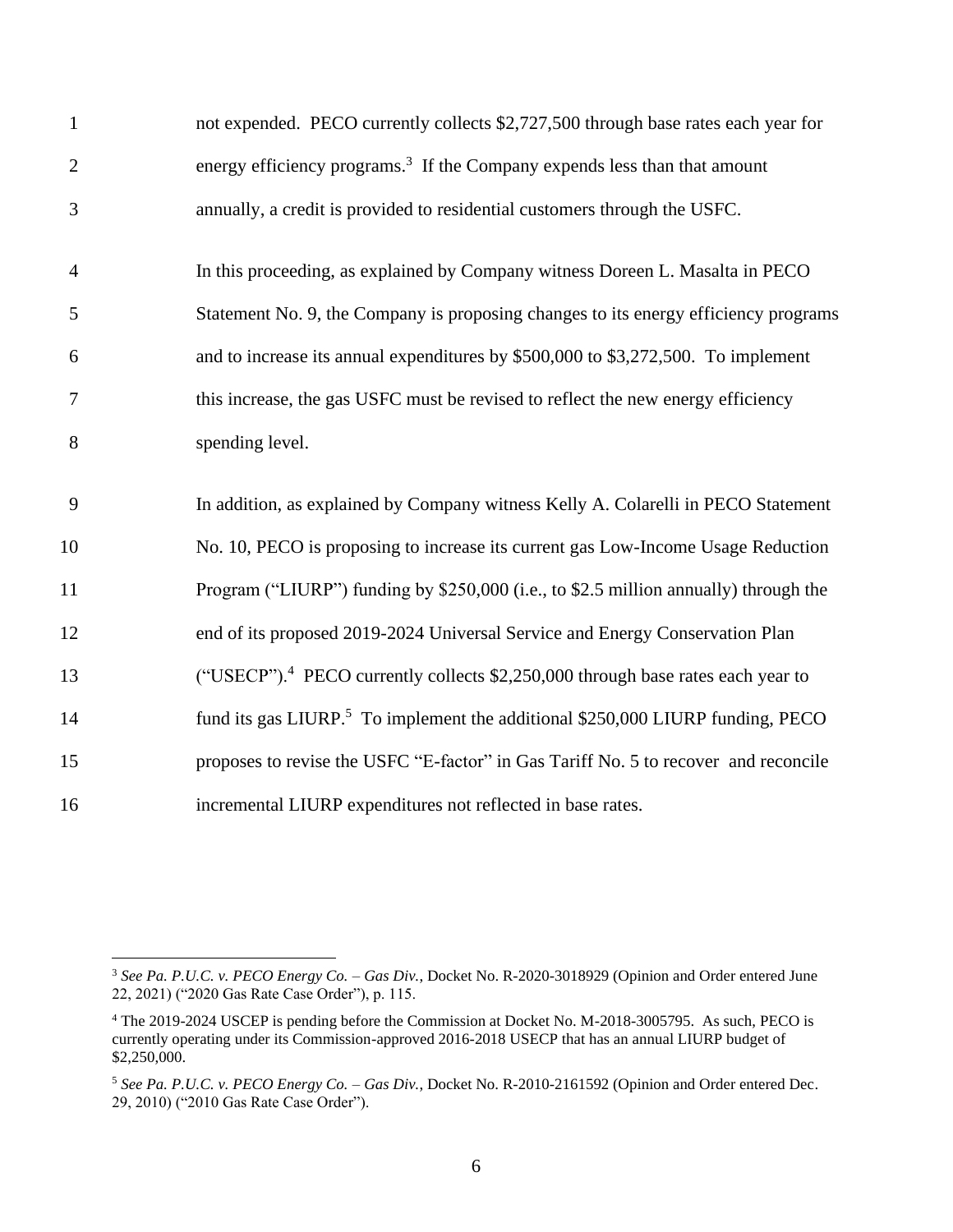| $\mathbf{1}$     | not expended. PECO currently collects \$2,727,500 through base rates each year for          |
|------------------|---------------------------------------------------------------------------------------------|
| $\overline{2}$   | energy efficiency programs. <sup>3</sup> If the Company expends less than that amount       |
| 3                | annually, a credit is provided to residential customers through the USFC.                   |
| $\overline{4}$   | In this proceeding, as explained by Company witness Doreen L. Masalta in PECO               |
| 5                | Statement No. 9, the Company is proposing changes to its energy efficiency programs         |
| 6                | and to increase its annual expenditures by \$500,000 to \$3,272,500. To implement           |
| $\boldsymbol{7}$ | this increase, the gas USFC must be revised to reflect the new energy efficiency            |
| 8                | spending level.                                                                             |
| 9                | In addition, as explained by Company witness Kelly A. Colarelli in PECO Statement           |
| 10               | No. 10, PECO is proposing to increase its current gas Low-Income Usage Reduction            |
| 11               | Program ("LIURP") funding by \$250,000 (i.e., to \$2.5 million annually) through the        |
| 12               | end of its proposed 2019-2024 Universal Service and Energy Conservation Plan                |
| 13               | ("USECP"). <sup>4</sup> PECO currently collects \$2,250,000 through base rates each year to |
| 14               | fund its gas LIURP. <sup>5</sup> To implement the additional \$250,000 LIURP funding, PECO  |
| 15               | proposes to revise the USFC "E-factor" in Gas Tariff No. 5 to recover and reconcile         |
| 16               | incremental LIURP expenditures not reflected in base rates.                                 |

 *See Pa. P.U.C. v. PECO Energy Co. – Gas Div.*, Docket No. R-2020-3018929 (Opinion and Order entered June 22, 2021) ("2020 Gas Rate Case Order"), p. 115.

 The 2019-2024 USCEP is pending before the Commission at Docket No. M-2018-3005795. As such, PECO is currently operating under its Commission-approved 2016-2018 USECP that has an annual LIURP budget of \$2,250,000.

 *See Pa. P.U.C. v. PECO Energy Co. – Gas Div.*, Docket No. R-2010-2161592 (Opinion and Order entered Dec. 29, 2010) ("2010 Gas Rate Case Order").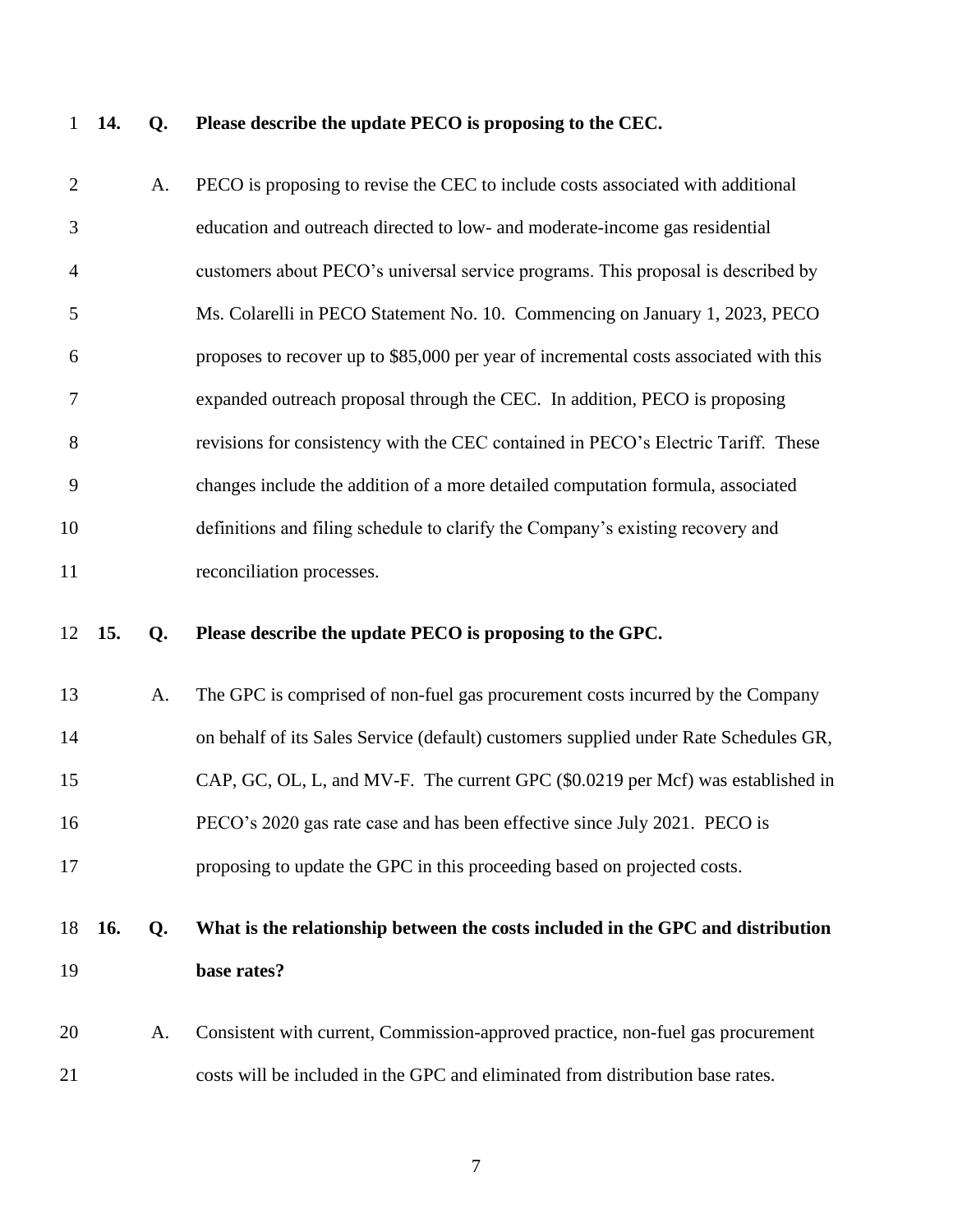## **14. Q. Please describe the update PECO is proposing to the CEC.**

| $\overline{2}$ |            | A. | PECO is proposing to revise the CEC to include costs associated with additional       |
|----------------|------------|----|---------------------------------------------------------------------------------------|
| 3              |            |    | education and outreach directed to low- and moderate-income gas residential           |
| $\overline{4}$ |            |    | customers about PECO's universal service programs. This proposal is described by      |
| 5              |            |    | Ms. Colarelli in PECO Statement No. 10. Commencing on January 1, 2023, PECO           |
| 6              |            |    | proposes to recover up to \$85,000 per year of incremental costs associated with this |
| 7              |            |    | expanded outreach proposal through the CEC. In addition, PECO is proposing            |
| 8              |            |    | revisions for consistency with the CEC contained in PECO's Electric Tariff. These     |
| 9              |            |    | changes include the addition of a more detailed computation formula, associated       |
| 10             |            |    | definitions and filing schedule to clarify the Company's existing recovery and        |
| 11             |            |    | reconciliation processes.                                                             |
| 12             | 15.        | Q. | Please describe the update PECO is proposing to the GPC.                              |
|                |            |    |                                                                                       |
| 13             |            | A. | The GPC is comprised of non-fuel gas procurement costs incurred by the Company        |
| 14             |            |    | on behalf of its Sales Service (default) customers supplied under Rate Schedules GR,  |
| 15             |            |    | CAP, GC, OL, L, and MV-F. The current GPC (\$0.0219 per Mcf) was established in       |
| 16             |            |    | PECO's 2020 gas rate case and has been effective since July 2021. PECO is             |
| 17             |            |    | proposing to update the GPC in this proceeding based on projected costs.              |
| 18             | <b>16.</b> | Q. | What is the relationship between the costs included in the GPC and distribution       |
| 19             |            |    | base rates?                                                                           |
| 20             |            | A. | Consistent with current, Commission-approved practice, non-fuel gas procurement       |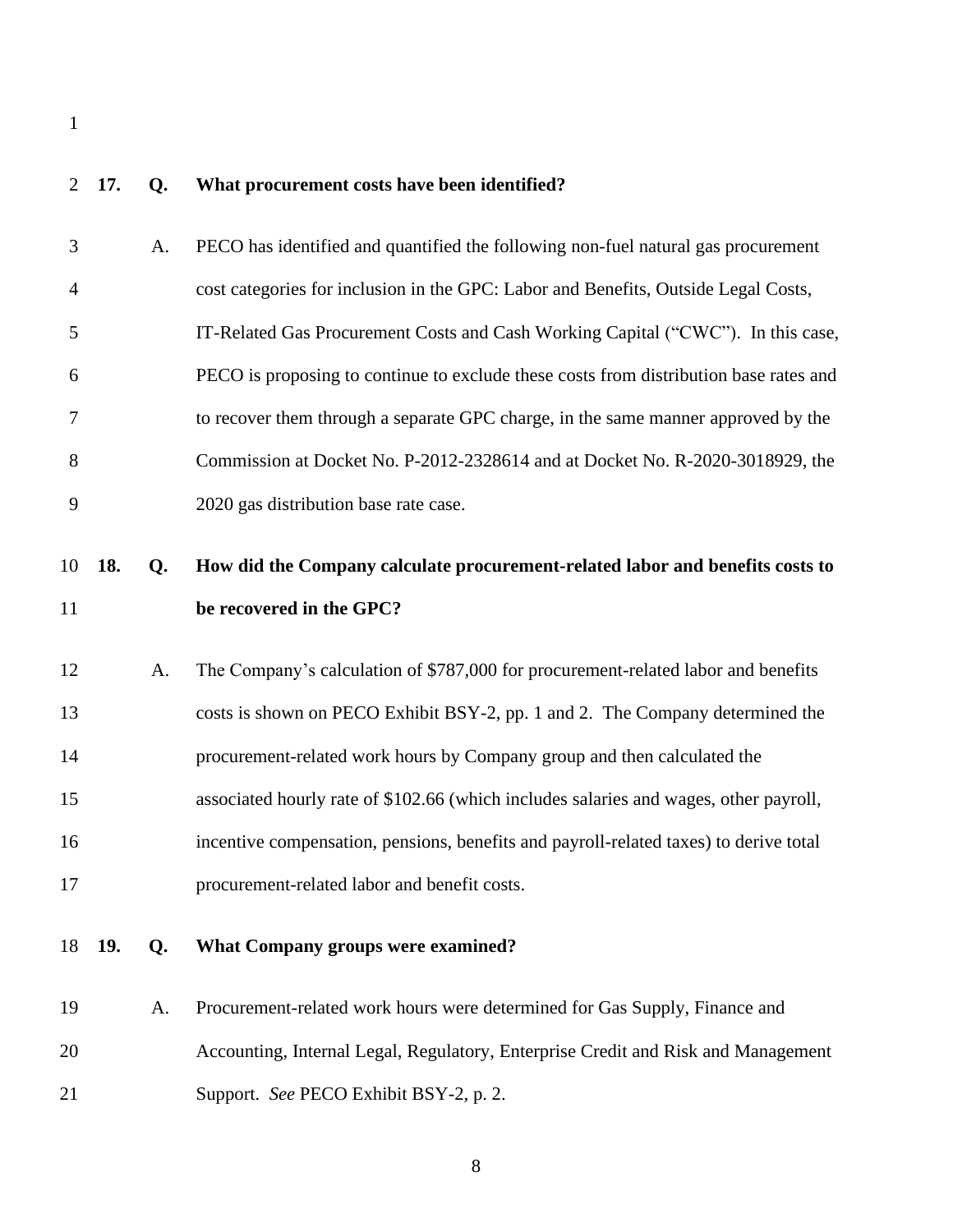## **17. Q. What procurement costs have been identified?**

| 3              |     | A. | PECO has identified and quantified the following non-fuel natural gas procurement     |
|----------------|-----|----|---------------------------------------------------------------------------------------|
| $\overline{4}$ |     |    | cost categories for inclusion in the GPC: Labor and Benefits, Outside Legal Costs,    |
| 5              |     |    | IT-Related Gas Procurement Costs and Cash Working Capital ("CWC"). In this case,      |
| 6              |     |    | PECO is proposing to continue to exclude these costs from distribution base rates and |
| 7              |     |    | to recover them through a separate GPC charge, in the same manner approved by the     |
| 8              |     |    | Commission at Docket No. P-2012-2328614 and at Docket No. R-2020-3018929, the         |
| 9              |     |    | 2020 gas distribution base rate case.                                                 |
| 10             | 18. | Q. | How did the Company calculate procurement-related labor and benefits costs to         |
| 11             |     |    | be recovered in the GPC?                                                              |
| 12             |     | A. | The Company's calculation of \$787,000 for procurement-related labor and benefits     |
| 13             |     |    | costs is shown on PECO Exhibit BSY-2, pp. 1 and 2. The Company determined the         |
| 14             |     |    | procurement-related work hours by Company group and then calculated the               |
| 15             |     |    | associated hourly rate of \$102.66 (which includes salaries and wages, other payroll, |
| 16             |     |    | incentive compensation, pensions, benefits and payroll-related taxes) to derive total |
| 17             |     |    | procurement-related labor and benefit costs.                                          |
| 18             | 19. | Q. | <b>What Company groups were examined?</b>                                             |
| 19             |     | A. | Procurement-related work hours were determined for Gas Supply, Finance and            |
| 20             |     |    | Accounting, Internal Legal, Regulatory, Enterprise Credit and Risk and Management     |

Support. *See* PECO Exhibit BSY-2, p. 2.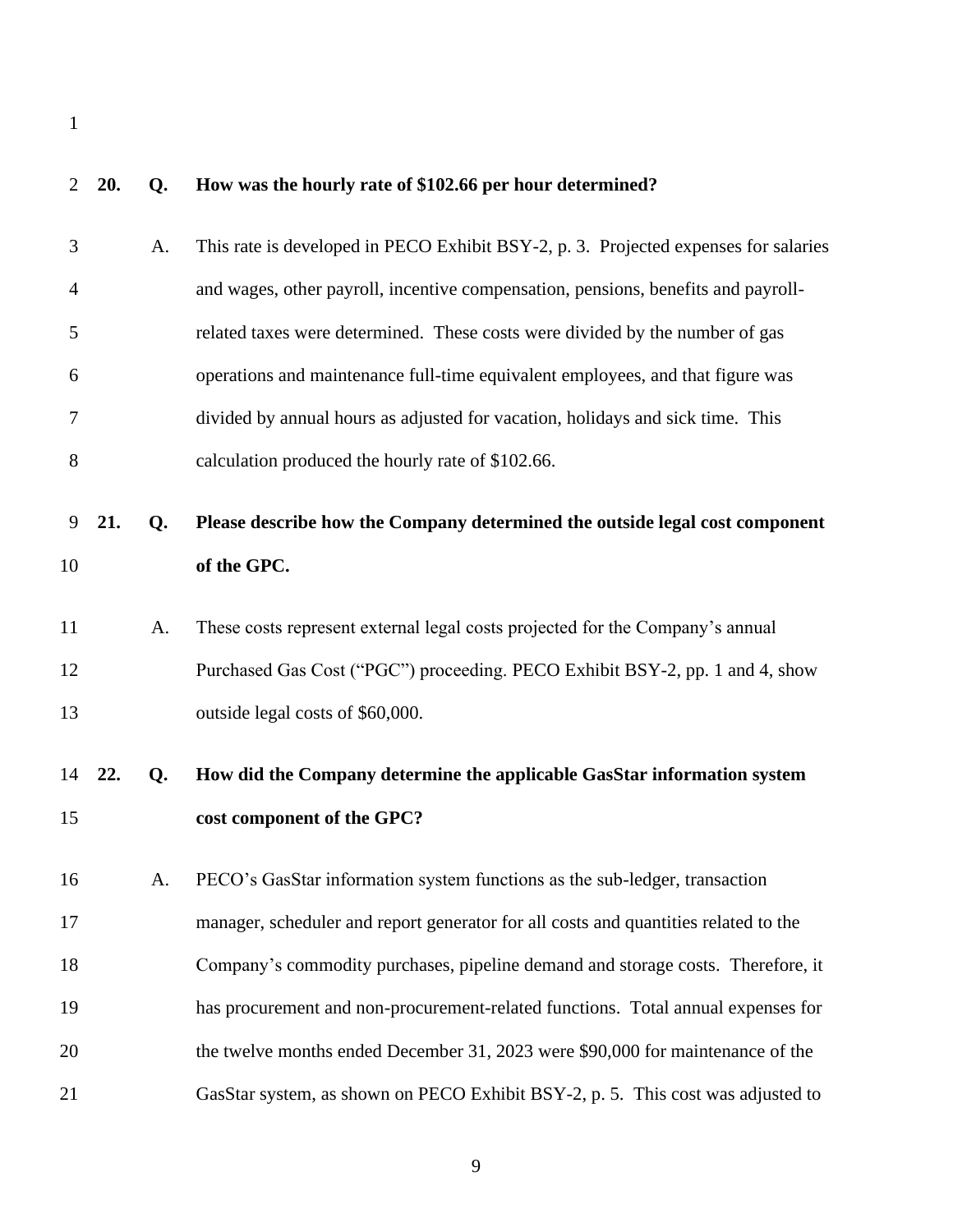| 2  | 20. | Q. | How was the hourly rate of \$102.66 per hour determined?                            |
|----|-----|----|-------------------------------------------------------------------------------------|
| 3  |     | A. | This rate is developed in PECO Exhibit BSY-2, p. 3. Projected expenses for salaries |
| 4  |     |    | and wages, other payroll, incentive compensation, pensions, benefits and payroll-   |
| 5  |     |    | related taxes were determined. These costs were divided by the number of gas        |
| 6  |     |    | operations and maintenance full-time equivalent employees, and that figure was      |
| 7  |     |    | divided by annual hours as adjusted for vacation, holidays and sick time. This      |
| 8  |     |    | calculation produced the hourly rate of \$102.66.                                   |
| 9  | 21. | Q. | Please describe how the Company determined the outside legal cost component         |
| 10 |     |    | of the GPC.                                                                         |
| 11 |     | A. | These costs represent external legal costs projected for the Company's annual       |
| 12 |     |    | Purchased Gas Cost ("PGC") proceeding. PECO Exhibit BSY-2, pp. 1 and 4, show        |
|    |     |    |                                                                                     |
| 13 |     |    | outside legal costs of \$60,000.                                                    |
| 14 | 22. | Q. | How did the Company determine the applicable GasStar information system             |
| 15 |     |    | cost component of the GPC?                                                          |
| 16 |     | A. | PECO's GasStar information system functions as the sub-ledger, transaction          |
| 17 |     |    | manager, scheduler and report generator for all costs and quantities related to the |
| 18 |     |    | Company's commodity purchases, pipeline demand and storage costs. Therefore, it     |
| 19 |     |    | has procurement and non-procurement-related functions. Total annual expenses for    |
| 20 |     |    | the twelve months ended December 31, 2023 were \$90,000 for maintenance of the      |
| 21 |     |    | GasStar system, as shown on PECO Exhibit BSY-2, p. 5. This cost was adjusted to     |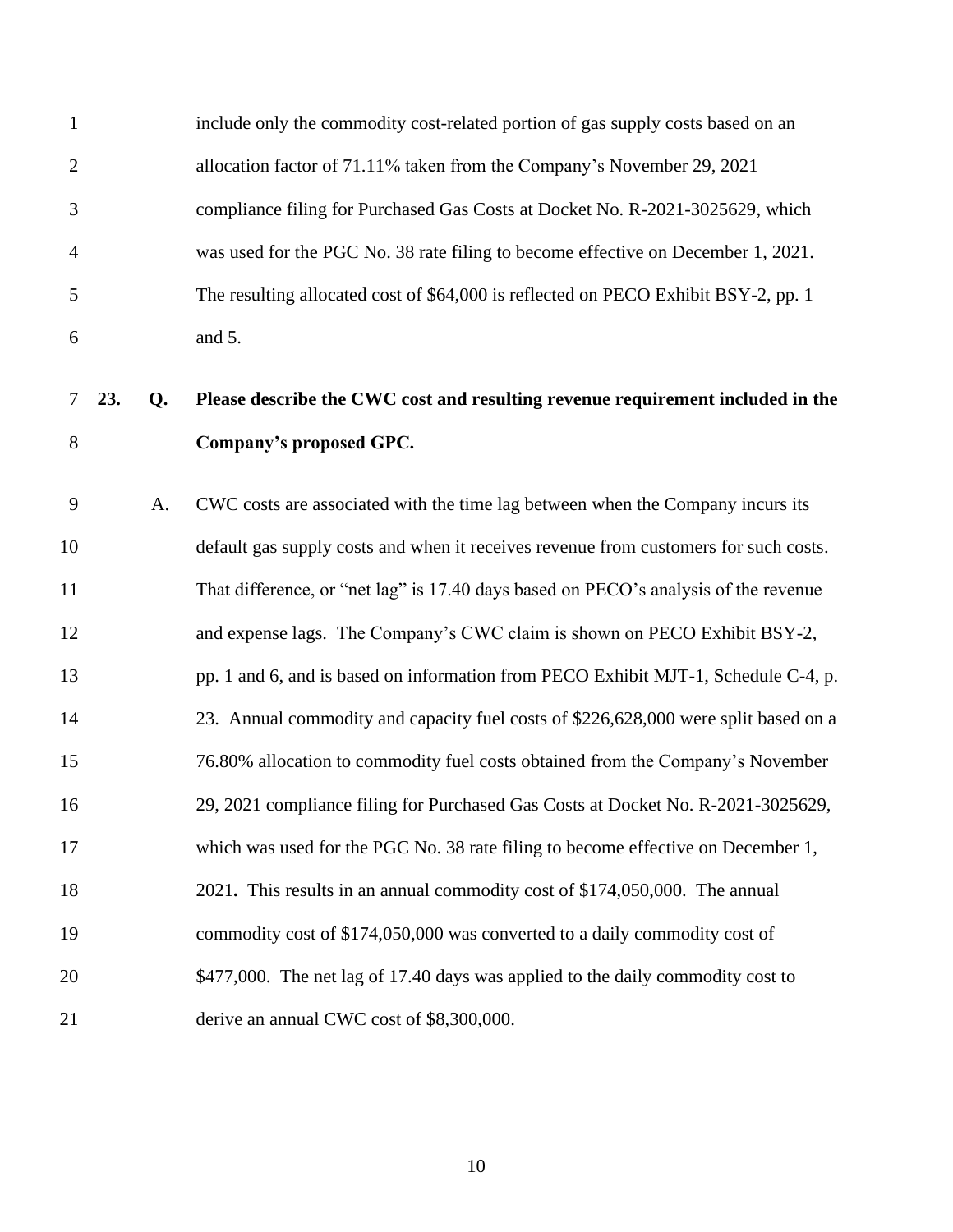| $\mathbf{1}$   |     |    | include only the commodity cost-related portion of gas supply costs based on an      |
|----------------|-----|----|--------------------------------------------------------------------------------------|
| $\overline{2}$ |     |    | allocation factor of 71.11% taken from the Company's November 29, 2021               |
| 3              |     |    | compliance filing for Purchased Gas Costs at Docket No. R-2021-3025629, which        |
| $\overline{4}$ |     |    | was used for the PGC No. 38 rate filing to become effective on December 1, 2021.     |
| 5              |     |    | The resulting allocated cost of \$64,000 is reflected on PECO Exhibit BSY-2, pp. 1   |
| 6              |     |    | and 5.                                                                               |
| 7              | 23. | Q. | Please describe the CWC cost and resulting revenue requirement included in the       |
| $8\,$          |     |    | Company's proposed GPC.                                                              |
| 9              |     | A. | CWC costs are associated with the time lag between when the Company incurs its       |
| 10             |     |    | default gas supply costs and when it receives revenue from customers for such costs. |
| 11             |     |    | That difference, or "net lag" is 17.40 days based on PECO's analysis of the revenue  |
| 12             |     |    | and expense lags. The Company's CWC claim is shown on PECO Exhibit BSY-2,            |
| 13             |     |    | pp. 1 and 6, and is based on information from PECO Exhibit MJT-1, Schedule C-4, p.   |
| 14             |     |    | 23. Annual commodity and capacity fuel costs of \$226,628,000 were split based on a  |
| 15             |     |    | 76.80% allocation to commodity fuel costs obtained from the Company's November       |
| 16             |     |    | 29, 2021 compliance filing for Purchased Gas Costs at Docket No. R-2021-3025629,     |
| 17             |     |    | which was used for the PGC No. 38 rate filing to become effective on December 1,     |
| 18             |     |    | 2021. This results in an annual commodity cost of \$174,050,000. The annual          |
| 19             |     |    | commodity cost of \$174,050,000 was converted to a daily commodity cost of           |
| 20             |     |    | \$477,000. The net lag of 17.40 days was applied to the daily commodity cost to      |
| 21             |     |    | derive an annual CWC cost of \$8,300,000.                                            |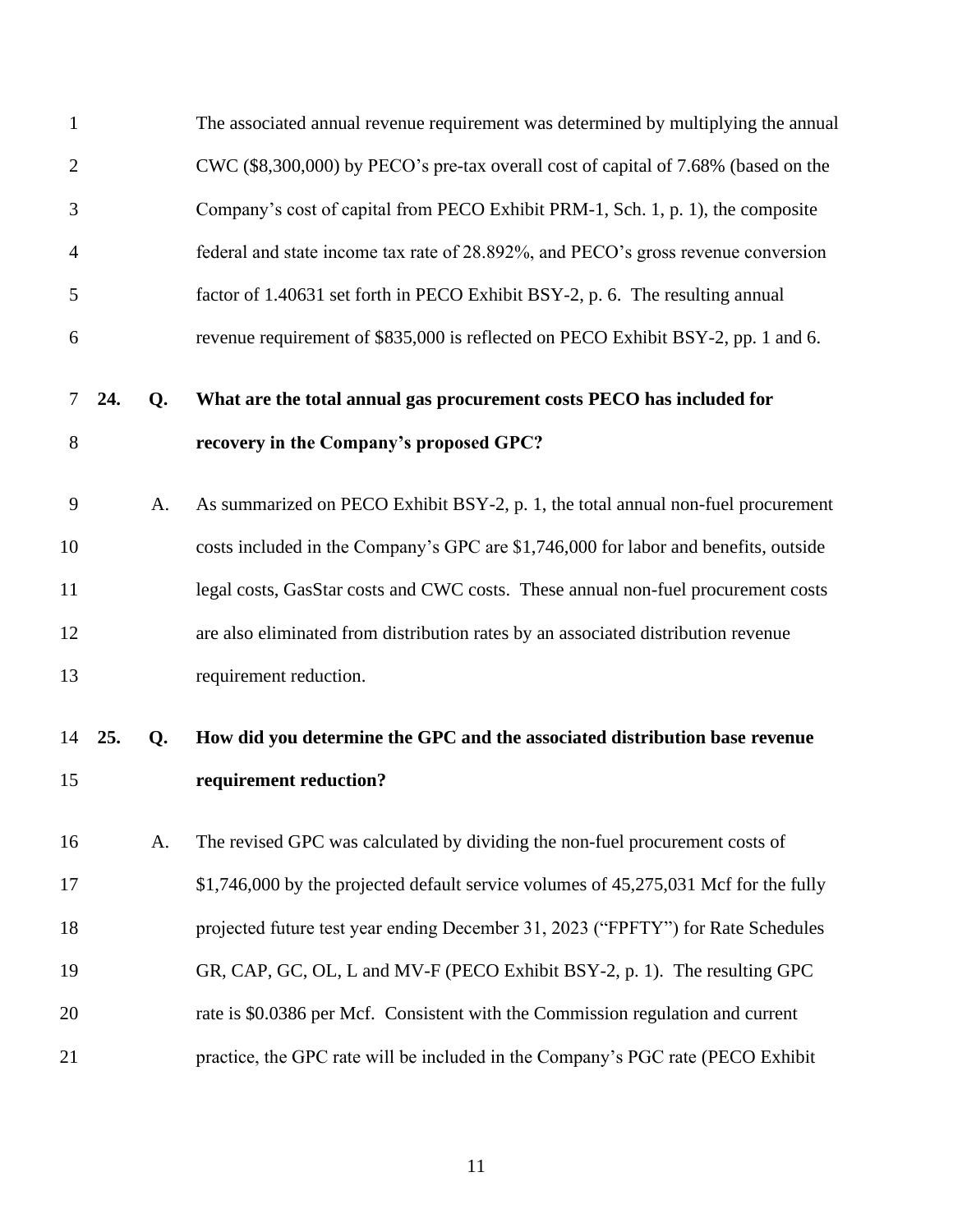| $\mathbf{1}$   |     |    | The associated annual revenue requirement was determined by multiplying the annual   |
|----------------|-----|----|--------------------------------------------------------------------------------------|
| $\overline{2}$ |     |    | CWC (\$8,300,000) by PECO's pre-tax overall cost of capital of 7.68% (based on the   |
| 3              |     |    | Company's cost of capital from PECO Exhibit PRM-1, Sch. 1, p. 1), the composite      |
| 4              |     |    | federal and state income tax rate of 28.892%, and PECO's gross revenue conversion    |
| 5              |     |    | factor of 1.40631 set forth in PECO Exhibit BSY-2, p. 6. The resulting annual        |
| 6              |     |    | revenue requirement of \$835,000 is reflected on PECO Exhibit BSY-2, pp. 1 and 6.    |
| 7              | 24. | Q. | What are the total annual gas procurement costs PECO has included for                |
| 8              |     |    | recovery in the Company's proposed GPC?                                              |
| 9              |     | A. | As summarized on PECO Exhibit BSY-2, p. 1, the total annual non-fuel procurement     |
| 10             |     |    | costs included in the Company's GPC are \$1,746,000 for labor and benefits, outside  |
| 11             |     |    | legal costs, GasStar costs and CWC costs. These annual non-fuel procurement costs    |
| 12             |     |    | are also eliminated from distribution rates by an associated distribution revenue    |
| 13             |     |    | requirement reduction.                                                               |
| 14             | 25. | Q. | How did you determine the GPC and the associated distribution base revenue           |
| 15             |     |    | requirement reduction?                                                               |
| 16             |     | A. | The revised GPC was calculated by dividing the non-fuel procurement costs of         |
| 17             |     |    | \$1,746,000 by the projected default service volumes of 45,275,031 Mcf for the fully |
| 18             |     |    | projected future test year ending December 31, 2023 ("FPFTY") for Rate Schedules     |
| 19             |     |    | GR, CAP, GC, OL, L and MV-F (PECO Exhibit BSY-2, p. 1). The resulting GPC            |
| 20             |     |    | rate is \$0.0386 per Mcf. Consistent with the Commission regulation and current      |
| 21             |     |    | practice, the GPC rate will be included in the Company's PGC rate (PECO Exhibit      |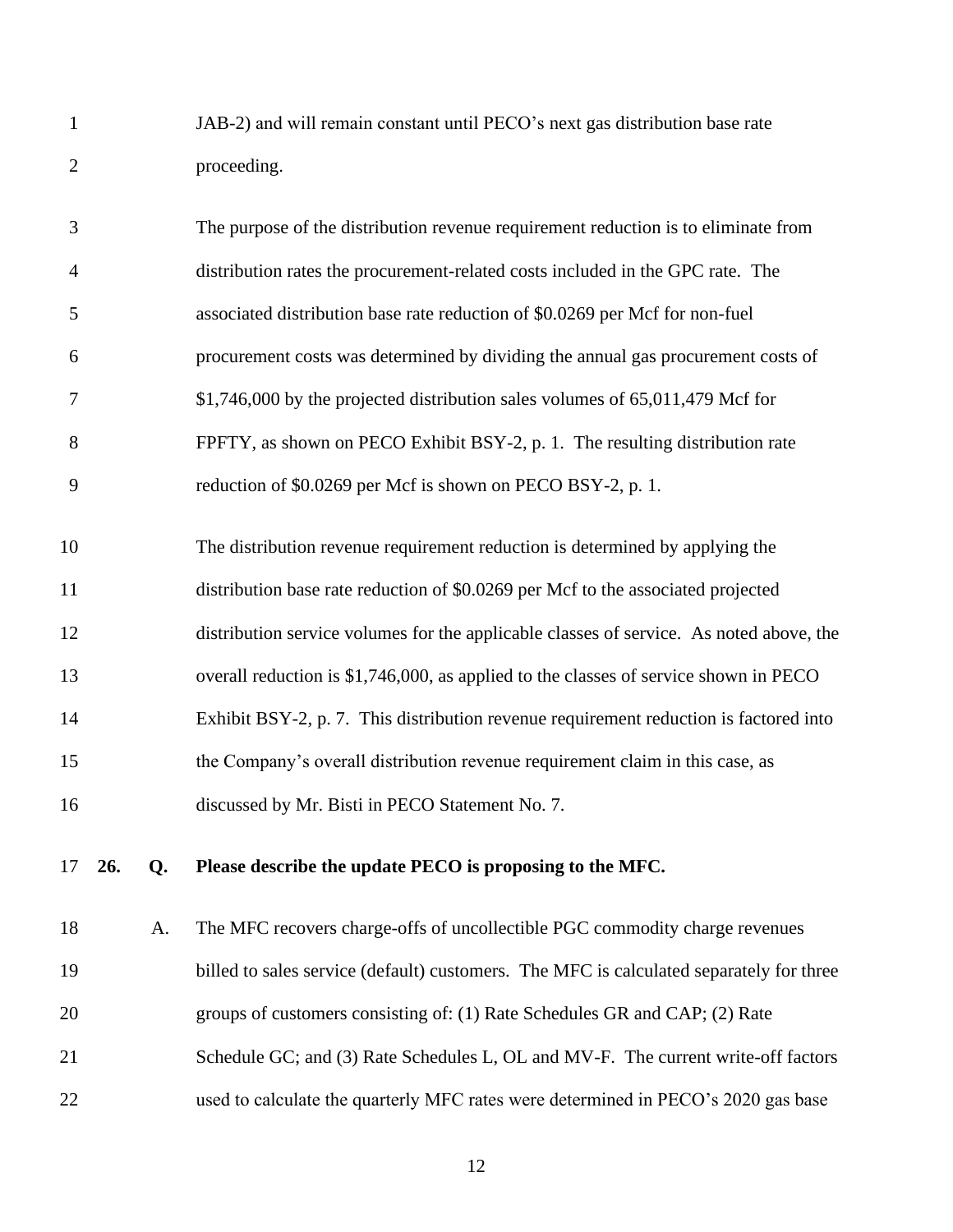| JAB-2) and will remain constant until PECO's next gas distribution base rate |
|------------------------------------------------------------------------------|
| proceeding.                                                                  |

| 3              | The purpose of the distribution revenue requirement reduction is to eliminate from |
|----------------|------------------------------------------------------------------------------------|
| $\overline{4}$ | distribution rates the procurement-related costs included in the GPC rate. The     |
| 5              | associated distribution base rate reduction of \$0.0269 per Mcf for non-fuel       |
| 6              | procurement costs was determined by dividing the annual gas procurement costs of   |
| 7              | $$1,746,000$ by the projected distribution sales volumes of 65,011,479 Mcf for     |
| 8              | FPFTY, as shown on PECO Exhibit BSY-2, p. 1. The resulting distribution rate       |
| 9              | reduction of \$0.0269 per Mcf is shown on PECO BSY-2, p. 1.                        |
| 10             | The distribution revenue requirement reduction is determined by applying the       |
| 11             | distribution base rate reduction of \$0.0269 per Mcf to the associated projected   |

 distribution service volumes for the applicable classes of service. As noted above, the overall reduction is \$1,746,000, as applied to the classes of service shown in PECO Exhibit BSY-2, p. 7. This distribution revenue requirement reduction is factored into the Company's overall distribution revenue requirement claim in this case, as discussed by Mr. Bisti in PECO Statement No. 7.

**26. Q. Please describe the update PECO is proposing to the MFC.**

 A. The MFC recovers charge-offs of uncollectible PGC commodity charge revenues 19 billed to sales service (default) customers. The MFC is calculated separately for three groups of customers consisting of: (1) Rate Schedules GR and CAP; (2) Rate 21 Schedule GC; and (3) Rate Schedules L, OL and MV-F. The current write-off factors used to calculate the quarterly MFC rates were determined in PECO's 2020 gas base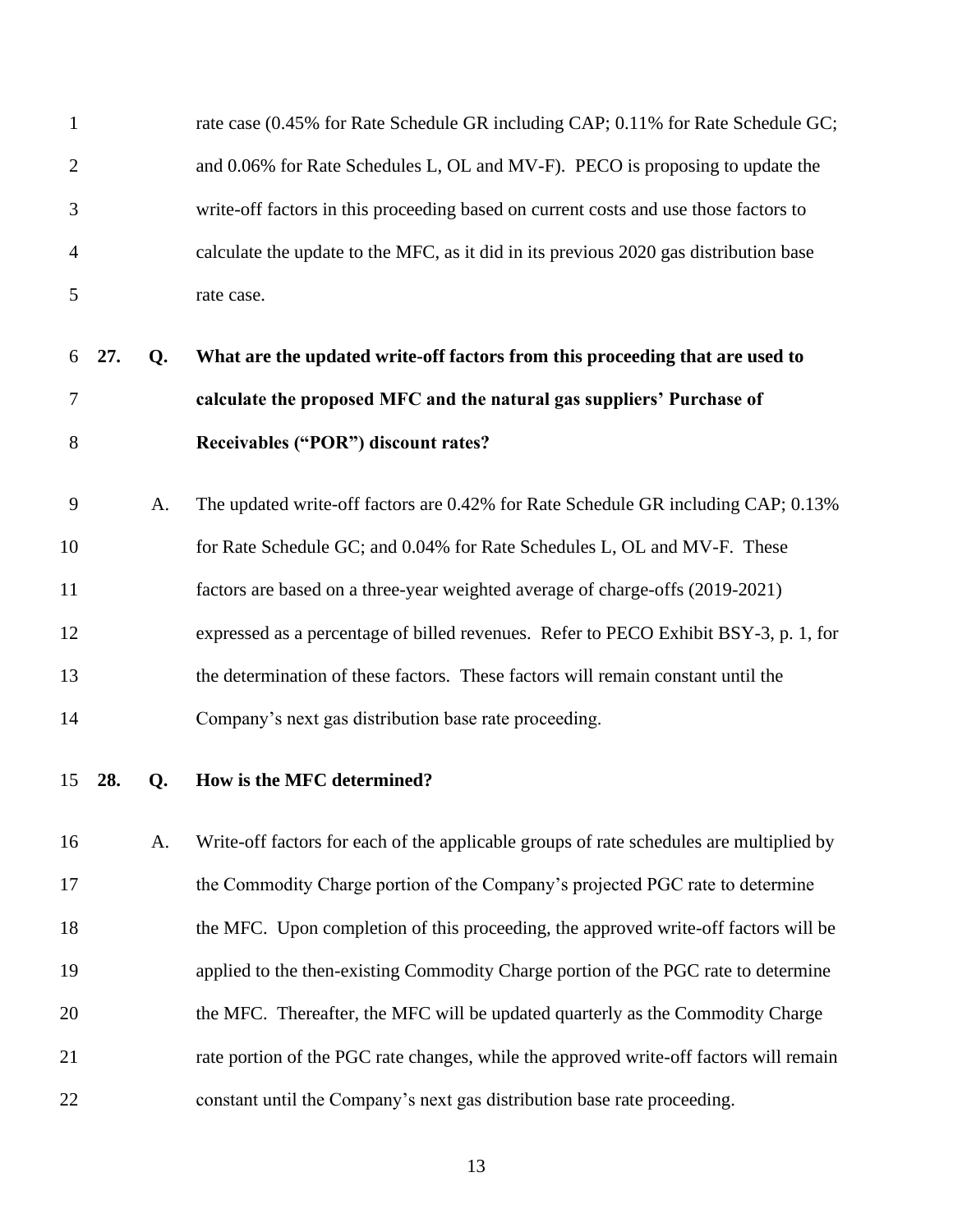| $\mathbf{1}$   |     |    | rate case (0.45% for Rate Schedule GR including CAP; 0.11% for Rate Schedule GC;        |
|----------------|-----|----|-----------------------------------------------------------------------------------------|
| $\overline{2}$ |     |    | and 0.06% for Rate Schedules L, OL and MV-F). PECO is proposing to update the           |
| 3              |     |    | write-off factors in this proceeding based on current costs and use those factors to    |
| 4              |     |    | calculate the update to the MFC, as it did in its previous 2020 gas distribution base   |
| 5              |     |    | rate case.                                                                              |
| 6              | 27. | Q. | What are the updated write-off factors from this proceeding that are used to            |
| 7              |     |    | calculate the proposed MFC and the natural gas suppliers' Purchase of                   |
| 8              |     |    | Receivables ("POR") discount rates?                                                     |
| 9              |     | A. | The updated write-off factors are 0.42% for Rate Schedule GR including CAP; 0.13%       |
| 10             |     |    | for Rate Schedule GC; and 0.04% for Rate Schedules L, OL and MV-F. These                |
| 11             |     |    | factors are based on a three-year weighted average of charge-offs (2019-2021)           |
| 12             |     |    | expressed as a percentage of billed revenues. Refer to PECO Exhibit BSY-3, p. 1, for    |
| 13             |     |    | the determination of these factors. These factors will remain constant until the        |
| 14             |     |    | Company's next gas distribution base rate proceeding.                                   |
| 15             | 28. | Q. | How is the MFC determined?                                                              |
| 16             |     | A. | Write-off factors for each of the applicable groups of rate schedules are multiplied by |
| 17             |     |    | the Commodity Charge portion of the Company's projected PGC rate to determine           |
| 18             |     |    | the MFC. Upon completion of this proceeding, the approved write-off factors will be     |
| 19             |     |    | applied to the then-existing Commodity Charge portion of the PGC rate to determine      |
| 20             |     |    | the MFC. Thereafter, the MFC will be updated quarterly as the Commodity Charge          |
| 21             |     |    | rate portion of the PGC rate changes, while the approved write-off factors will remain  |
| 22             |     |    | constant until the Company's next gas distribution base rate proceeding.                |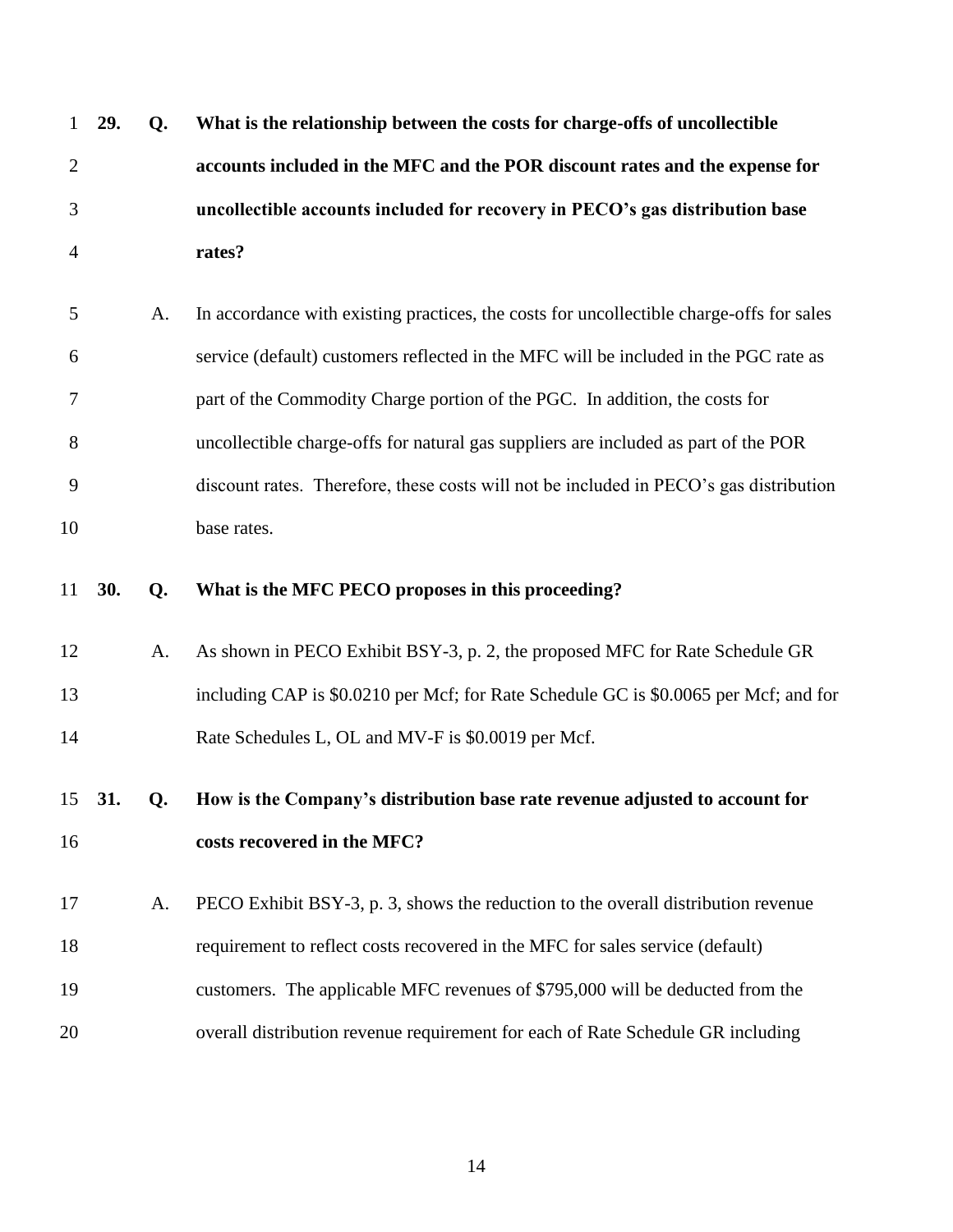| $\mathbf{1}$   | 29. | Q. | What is the relationship between the costs for charge-offs of uncollectible              |
|----------------|-----|----|------------------------------------------------------------------------------------------|
| $\overline{2}$ |     |    | accounts included in the MFC and the POR discount rates and the expense for              |
| 3              |     |    | uncollectible accounts included for recovery in PECO's gas distribution base             |
| 4              |     |    | rates?                                                                                   |
| 5              |     | A. | In accordance with existing practices, the costs for uncollectible charge-offs for sales |
| 6              |     |    | service (default) customers reflected in the MFC will be included in the PGC rate as     |
| 7              |     |    | part of the Commodity Charge portion of the PGC. In addition, the costs for              |
| 8              |     |    | uncollectible charge-offs for natural gas suppliers are included as part of the POR      |
| 9              |     |    | discount rates. Therefore, these costs will not be included in PECO's gas distribution   |
| 10             |     |    | base rates.                                                                              |
| 11             | 30. | Q. | What is the MFC PECO proposes in this proceeding?                                        |
| 12             |     | A. | As shown in PECO Exhibit BSY-3, p. 2, the proposed MFC for Rate Schedule GR              |
| 13             |     |    | including CAP is \$0.0210 per Mcf; for Rate Schedule GC is \$0.0065 per Mcf; and for     |
| 14             |     |    | Rate Schedules L, OL and MV-F is \$0.0019 per Mcf.                                       |
| 15             | 31. | Q. | How is the Company's distribution base rate revenue adjusted to account for              |
| 16             |     |    | costs recovered in the MFC?                                                              |
| 17             |     | A. | PECO Exhibit BSY-3, p. 3, shows the reduction to the overall distribution revenue        |
| 18             |     |    | requirement to reflect costs recovered in the MFC for sales service (default)            |
| 19             |     |    | customers. The applicable MFC revenues of \$795,000 will be deducted from the            |
| 20             |     |    | overall distribution revenue requirement for each of Rate Schedule GR including          |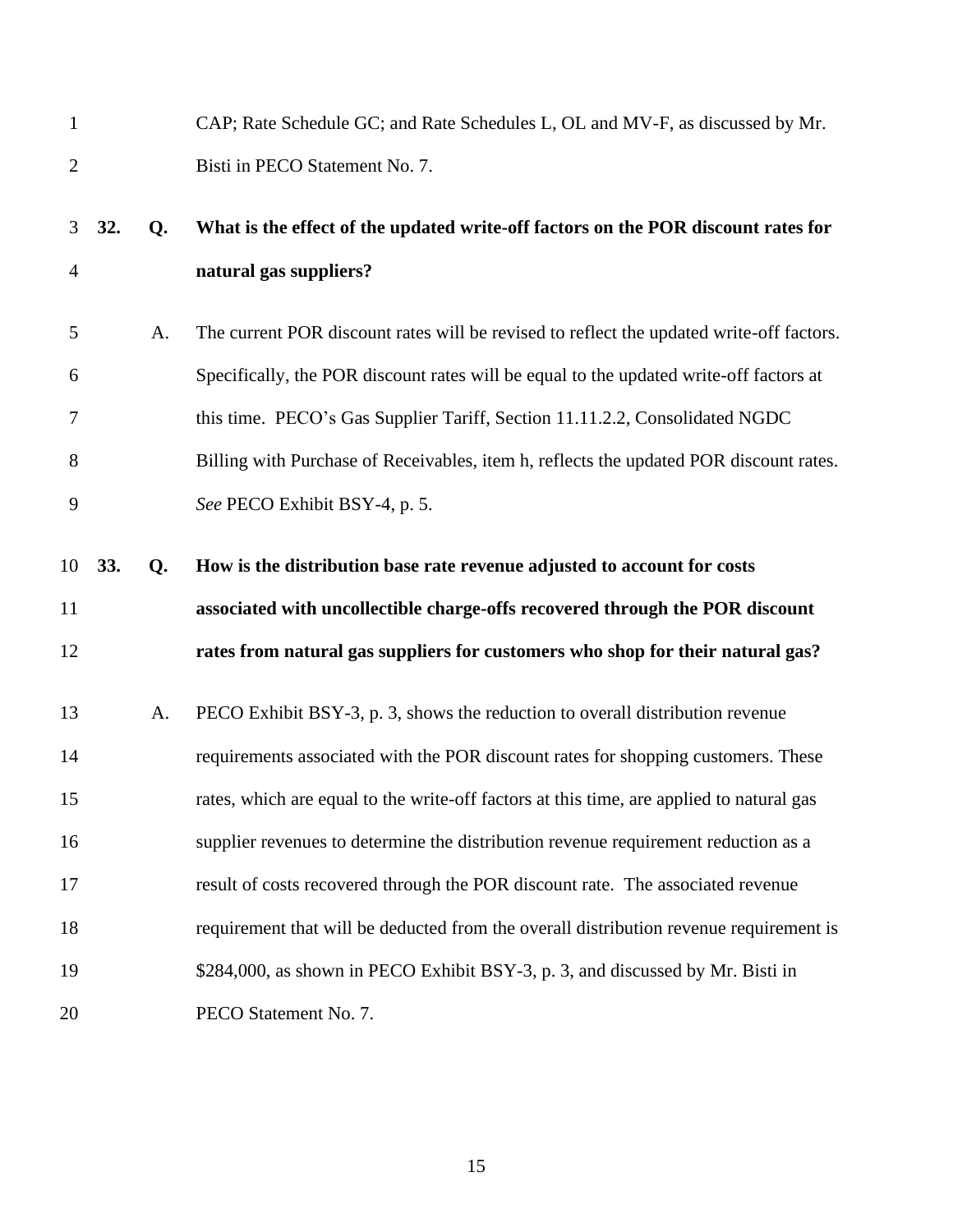| $\mathbf{1}$   |     |    | CAP; Rate Schedule GC; and Rate Schedules L, OL and MV-F, as discussed by Mr.            |
|----------------|-----|----|------------------------------------------------------------------------------------------|
| $\overline{2}$ |     |    | Bisti in PECO Statement No. 7.                                                           |
| 3              | 32. | Q. | What is the effect of the updated write-off factors on the POR discount rates for        |
| 4              |     |    | natural gas suppliers?                                                                   |
| 5              |     | A. | The current POR discount rates will be revised to reflect the updated write-off factors. |
| 6              |     |    | Specifically, the POR discount rates will be equal to the updated write-off factors at   |
| 7              |     |    | this time. PECO's Gas Supplier Tariff, Section 11.11.2.2, Consolidated NGDC              |
| 8              |     |    | Billing with Purchase of Receivables, item h, reflects the updated POR discount rates.   |
| 9              |     |    | See PECO Exhibit BSY-4, p. 5.                                                            |
| 10             | 33. | Q. | How is the distribution base rate revenue adjusted to account for costs                  |
|                |     |    |                                                                                          |
| 11             |     |    | associated with uncollectible charge-offs recovered through the POR discount             |
| 12             |     |    | rates from natural gas suppliers for customers who shop for their natural gas?           |
| 13             |     | A. | PECO Exhibit BSY-3, p. 3, shows the reduction to overall distribution revenue            |
| 14             |     |    | requirements associated with the POR discount rates for shopping customers. These        |
| 15             |     |    | rates, which are equal to the write-off factors at this time, are applied to natural gas |
| 16             |     |    | supplier revenues to determine the distribution revenue requirement reduction as a       |
| 17             |     |    | result of costs recovered through the POR discount rate. The associated revenue          |
| 18             |     |    | requirement that will be deducted from the overall distribution revenue requirement is   |
| 19             |     |    | \$284,000, as shown in PECO Exhibit BSY-3, p. 3, and discussed by Mr. Bisti in           |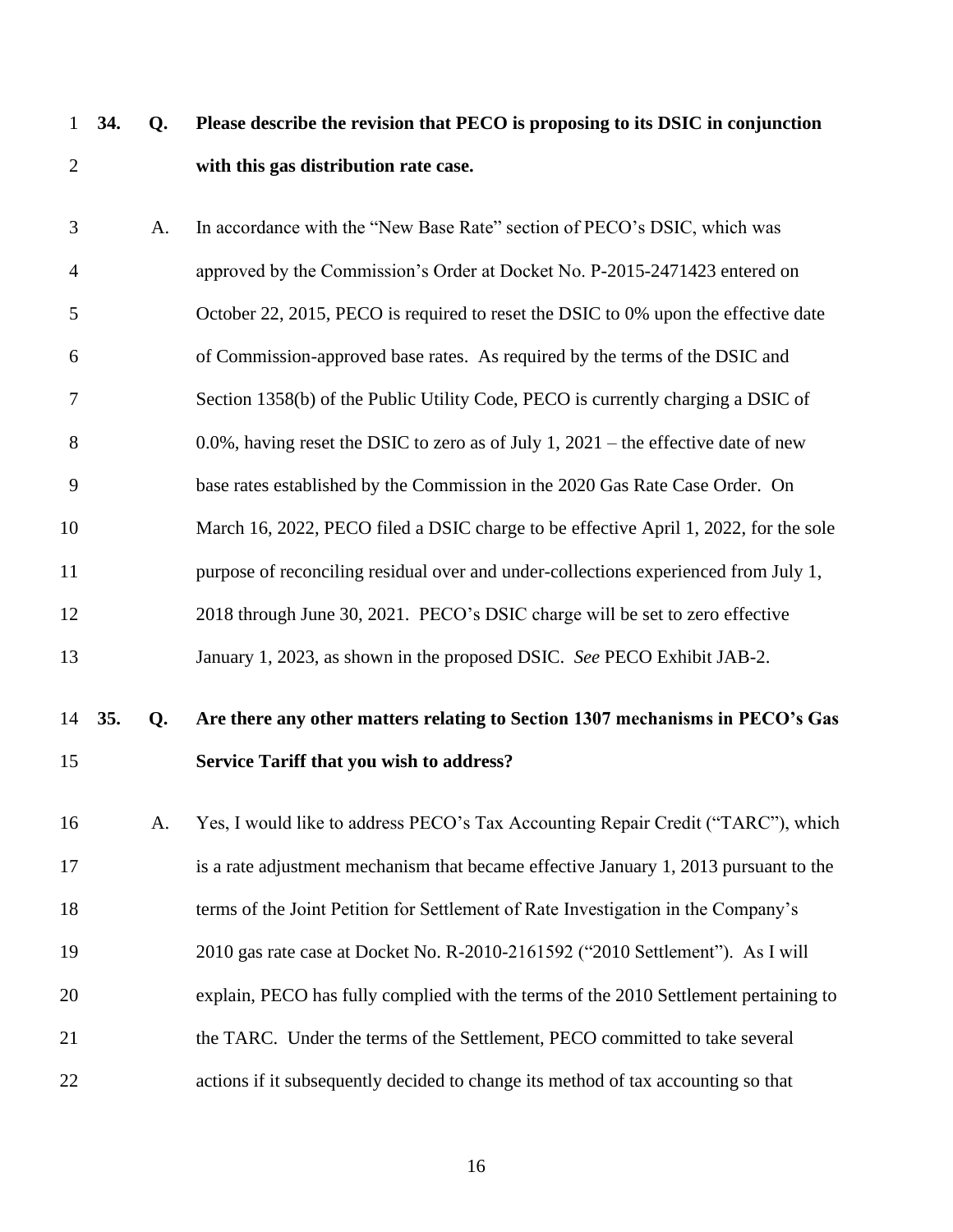- **34. Q. Please describe the revision that PECO is proposing to its DSIC in conjunction with this gas distribution rate case.**
- A. In accordance with the "New Base Rate" section of PECO's DSIC, which was approved by the Commission's Order at Docket No. P-2015-2471423 entered on October 22, 2015, PECO is required to reset the DSIC to 0% upon the effective date of Commission-approved base rates. As required by the terms of the DSIC and Section 1358(b) of the Public Utility Code, PECO is currently charging a DSIC of 0.0%, having reset the DSIC to zero as of July 1, 2021 – the effective date of new base rates established by the Commission in the 2020 Gas Rate Case Order. On 10 March 16, 2022, PECO filed a DSIC charge to be effective April 1, 2022, for the sole purpose of reconciling residual over and under-collections experienced from July 1, 2018 through June 30, 2021. PECO's DSIC charge will be set to zero effective January 1, 2023, as shown in the proposed DSIC. *See* PECO Exhibit JAB-2.

# **35. Q. Are there any other matters relating to Section 1307 mechanisms in PECO's Gas Service Tariff that you wish to address?**

 A. Yes, I would like to address PECO's Tax Accounting Repair Credit ("TARC"), which is a rate adjustment mechanism that became effective January 1, 2013 pursuant to the terms of the Joint Petition for Settlement of Rate Investigation in the Company's 2010 gas rate case at Docket No. R-2010-2161592 ("2010 Settlement"). As I will explain, PECO has fully complied with the terms of the 2010 Settlement pertaining to the TARC. Under the terms of the Settlement, PECO committed to take several actions if it subsequently decided to change its method of tax accounting so that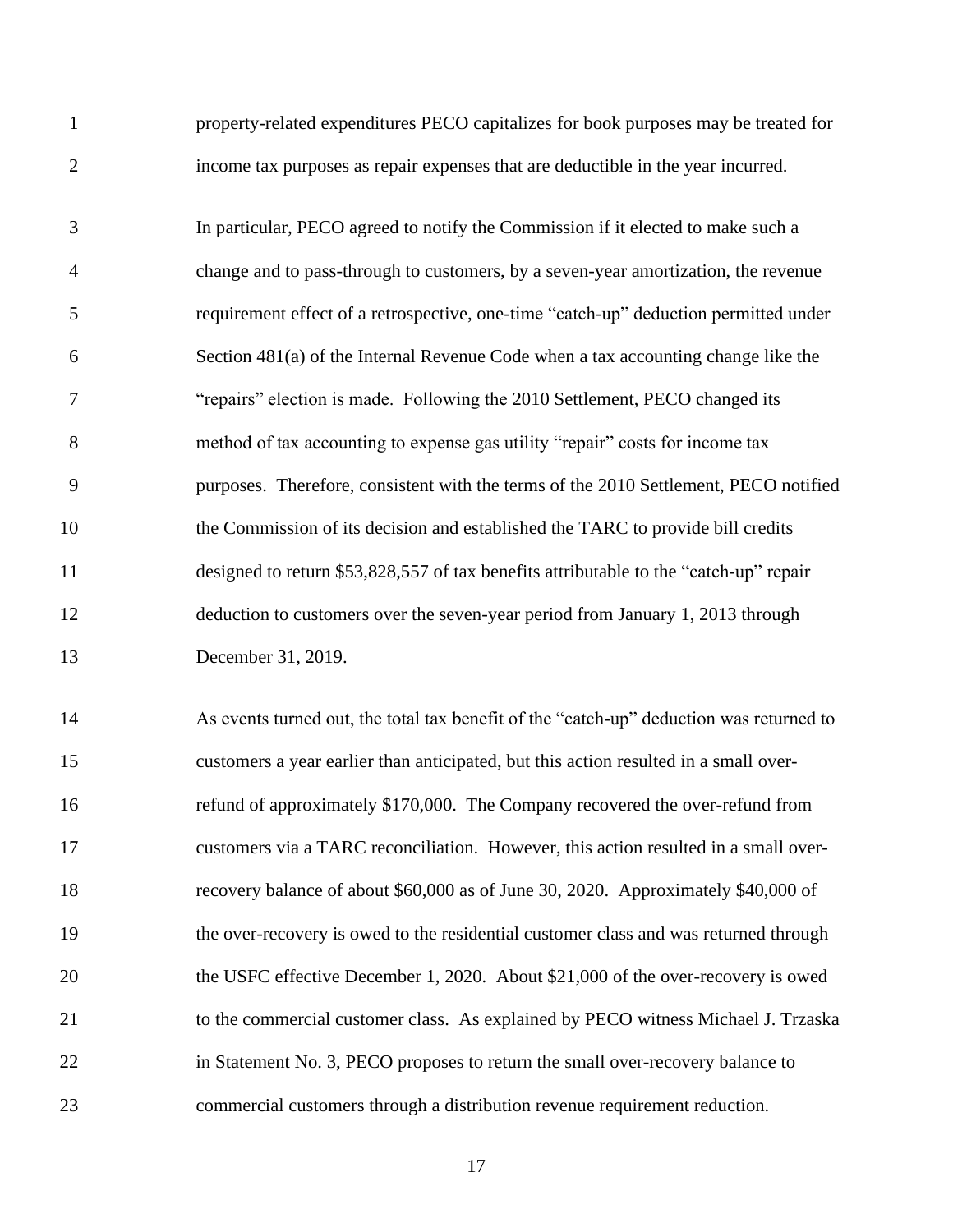| $\mathbf{1}$   | property-related expenditures PECO capitalizes for book purposes may be treated for     |
|----------------|-----------------------------------------------------------------------------------------|
| $\overline{2}$ | income tax purposes as repair expenses that are deductible in the year incurred.        |
| 3              | In particular, PECO agreed to notify the Commission if it elected to make such a        |
| 4              | change and to pass-through to customers, by a seven-year amortization, the revenue      |
| 5              | requirement effect of a retrospective, one-time "catch-up" deduction permitted under    |
| 6              | Section 481(a) of the Internal Revenue Code when a tax accounting change like the       |
| 7              | "repairs" election is made. Following the 2010 Settlement, PECO changed its             |
| 8              | method of tax accounting to expense gas utility "repair" costs for income tax           |
| 9              | purposes. Therefore, consistent with the terms of the 2010 Settlement, PECO notified    |
| 10             | the Commission of its decision and established the TARC to provide bill credits         |
| 11             | designed to return \$53,828,557 of tax benefits attributable to the "catch-up" repair   |
| 12             | deduction to customers over the seven-year period from January 1, 2013 through          |
| 13             | December 31, 2019.                                                                      |
| 14             | As events turned out, the total tax benefit of the "catch-up" deduction was returned to |
| 15             | customers a year earlier than anticipated, but this action resulted in a small over-    |
| 16             | refund of approximately \$170,000. The Company recovered the over-refund from           |
| 17             | customers via a TARC reconciliation. However, this action resulted in a small over-     |
| 18             | recovery balance of about \$60,000 as of June 30, 2020. Approximately \$40,000 of       |
| 19             | the over-recovery is owed to the residential customer class and was returned through    |
| 20             | the USFC effective December 1, 2020. About \$21,000 of the over-recovery is owed        |
| 21             | to the commercial customer class. As explained by PECO witness Michael J. Trzaska       |
| 22             | in Statement No. 3, PECO proposes to return the small over-recovery balance to          |
| 23             | commercial customers through a distribution revenue requirement reduction.              |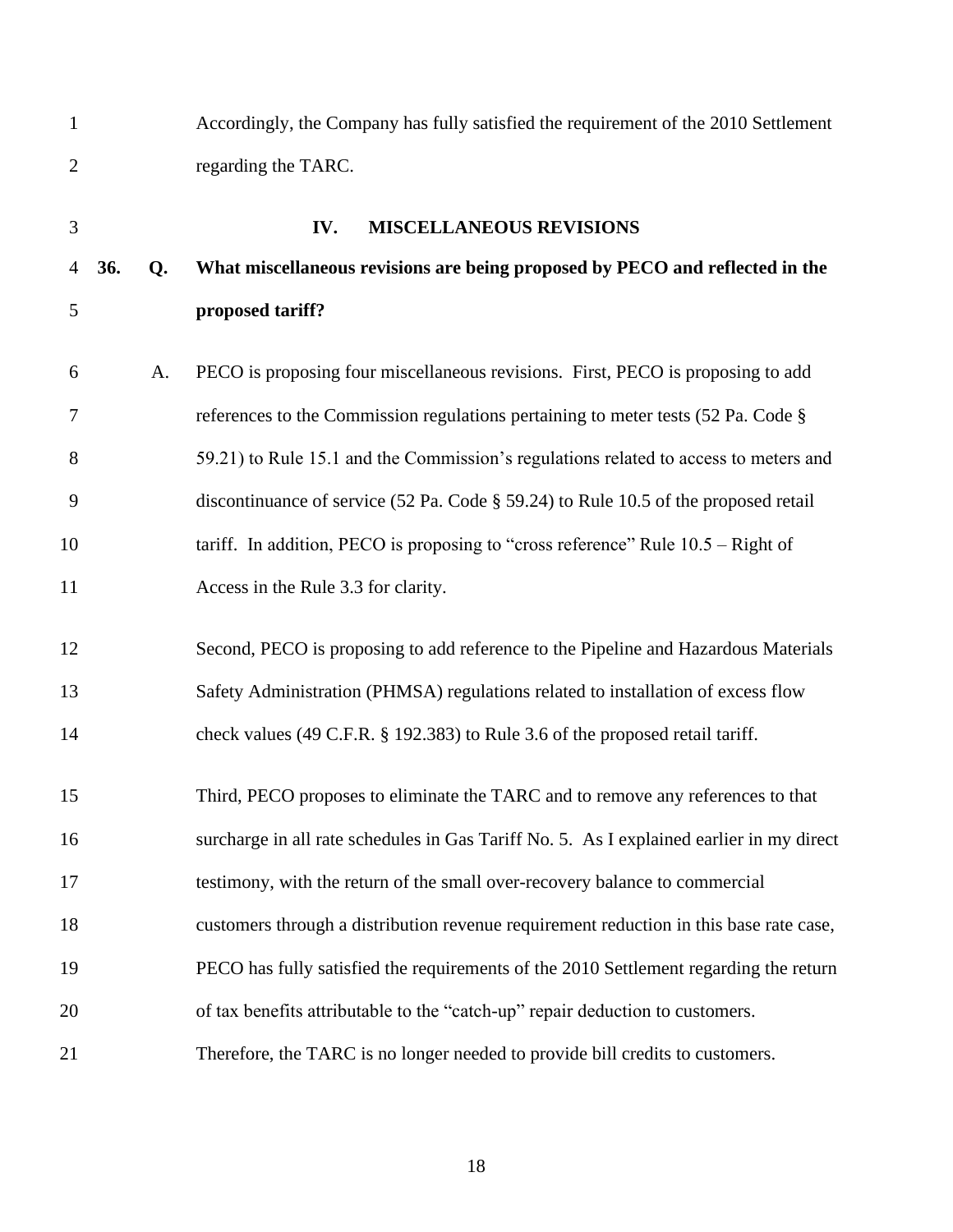<span id="page-19-0"></span>

| $\mathbf{1}$   |     |    | Accordingly, the Company has fully satisfied the requirement of the 2010 Settlement      |
|----------------|-----|----|------------------------------------------------------------------------------------------|
| $\overline{2}$ |     |    | regarding the TARC.                                                                      |
| 3              |     |    | IV.<br><b>MISCELLANEOUS REVISIONS</b>                                                    |
| $\overline{4}$ | 36. | Q. | What miscellaneous revisions are being proposed by PECO and reflected in the             |
| 5              |     |    | proposed tariff?                                                                         |
| 6              |     | A. | PECO is proposing four miscellaneous revisions. First, PECO is proposing to add          |
| 7              |     |    | references to the Commission regulations pertaining to meter tests (52 Pa. Code §        |
| 8              |     |    | 59.21) to Rule 15.1 and the Commission's regulations related to access to meters and     |
| 9              |     |    | discontinuance of service (52 Pa. Code § 59.24) to Rule 10.5 of the proposed retail      |
| 10             |     |    | tariff. In addition, PECO is proposing to "cross reference" Rule $10.5 -$ Right of       |
| 11             |     |    | Access in the Rule 3.3 for clarity.                                                      |
| 12             |     |    | Second, PECO is proposing to add reference to the Pipeline and Hazardous Materials       |
| 13             |     |    | Safety Administration (PHMSA) regulations related to installation of excess flow         |
| 14             |     |    | check values (49 C.F.R. § 192.383) to Rule 3.6 of the proposed retail tariff.            |
| 15             |     |    | Third, PECO proposes to eliminate the TARC and to remove any references to that          |
| 16             |     |    | surcharge in all rate schedules in Gas Tariff No. 5. As I explained earlier in my direct |
| 17             |     |    | testimony, with the return of the small over-recovery balance to commercial              |
| 18             |     |    | customers through a distribution revenue requirement reduction in this base rate case,   |
| 19             |     |    | PECO has fully satisfied the requirements of the 2010 Settlement regarding the return    |
| 20             |     |    | of tax benefits attributable to the "catch-up" repair deduction to customers.            |
| 21             |     |    | Therefore, the TARC is no longer needed to provide bill credits to customers.            |